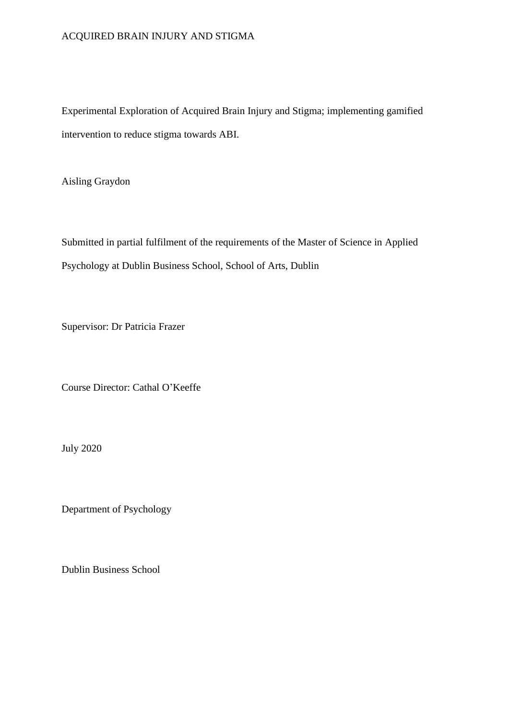## ACQUIRED BRAIN INJURY AND STIGMA

Experimental Exploration of Acquired Brain Injury and Stigma; implementing gamified intervention to reduce stigma towards ABI.

Aisling Graydon

Submitted in partial fulfilment of the requirements of the Master of Science in Applied Psychology at Dublin Business School, School of Arts, Dublin

Supervisor: Dr Patricia Frazer

Course Director: Cathal O'Keeffe

July 2020

Department of Psychology

Dublin Business School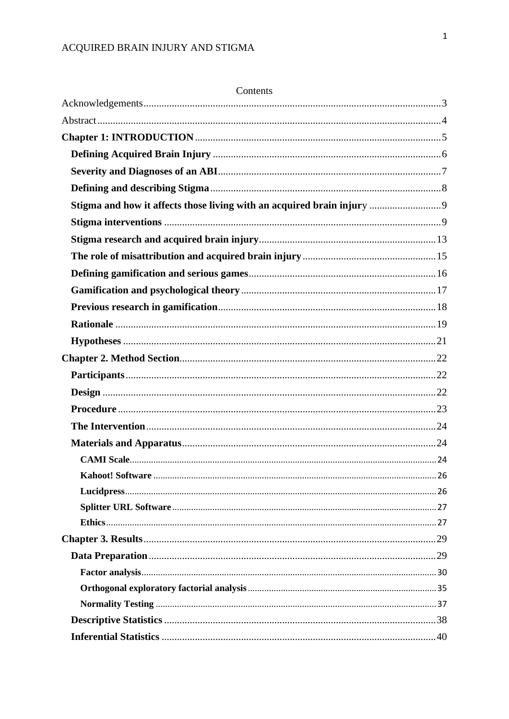| Contents |  |
|----------|--|
|          |  |
|          |  |
|          |  |
|          |  |
|          |  |
|          |  |
|          |  |
|          |  |
|          |  |
|          |  |
|          |  |
|          |  |
|          |  |
|          |  |
|          |  |
|          |  |
|          |  |
|          |  |
|          |  |
|          |  |
|          |  |
|          |  |
|          |  |
|          |  |
|          |  |
|          |  |
|          |  |
|          |  |
|          |  |
|          |  |
|          |  |
|          |  |
|          |  |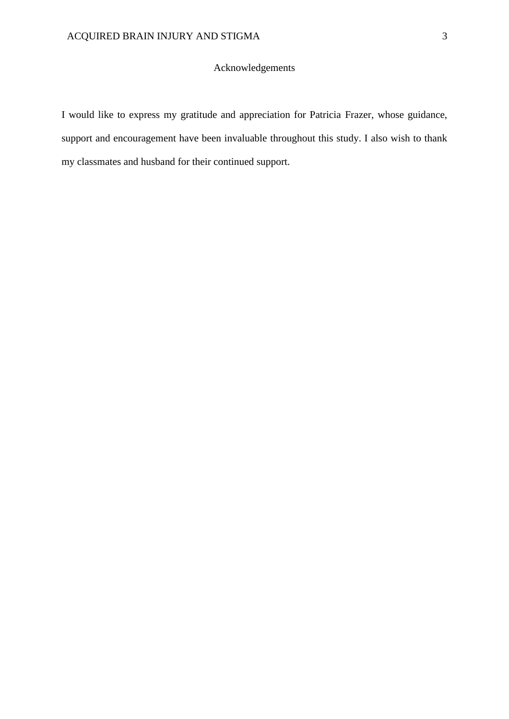# Acknowledgements

<span id="page-3-0"></span>I would like to express my gratitude and appreciation for Patricia Frazer, whose guidance, support and encouragement have been invaluable throughout this study. I also wish to thank my classmates and husband for their continued support.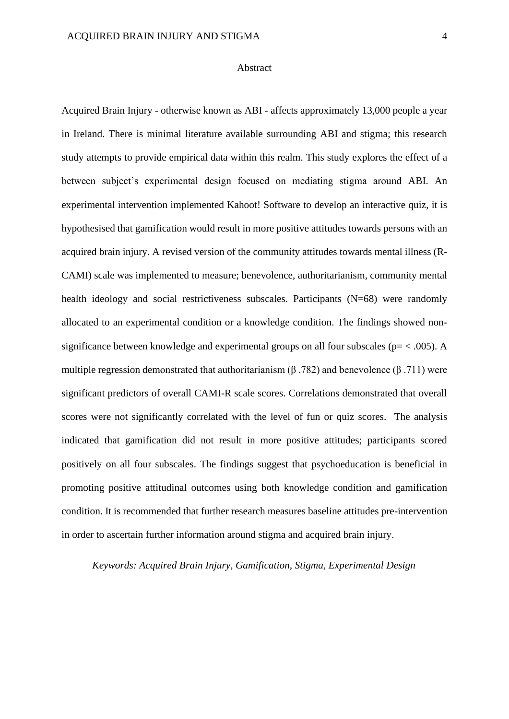#### Abstract

<span id="page-4-0"></span>Acquired Brain Injury - otherwise known as ABI - affects approximately 13,000 people a year in Ireland. There is minimal literature available surrounding ABI and stigma; this research study attempts to provide empirical data within this realm. This study explores the effect of a between subject's experimental design focused on mediating stigma around ABI. An experimental intervention implemented Kahoot! Software to develop an interactive quiz, it is hypothesised that gamification would result in more positive attitudes towards persons with an acquired brain injury. A revised version of the community attitudes towards mental illness (R-CAMI) scale was implemented to measure; benevolence, authoritarianism, community mental health ideology and social restrictiveness subscales. Participants (N=68) were randomly allocated to an experimental condition or a knowledge condition. The findings showed nonsignificance between knowledge and experimental groups on all four subscales ( $p = < .005$ ). A multiple regression demonstrated that authoritarianism ( $\beta$  .782) and benevolence ( $\beta$  .711) were significant predictors of overall CAMI-R scale scores. Correlations demonstrated that overall scores were not significantly correlated with the level of fun or quiz scores. The analysis indicated that gamification did not result in more positive attitudes; participants scored positively on all four subscales. The findings suggest that psychoeducation is beneficial in promoting positive attitudinal outcomes using both knowledge condition and gamification condition. It is recommended that further research measures baseline attitudes pre-intervention in order to ascertain further information around stigma and acquired brain injury.

*Keywords: Acquired Brain Injury, Gamification, Stigma, Experimental Design*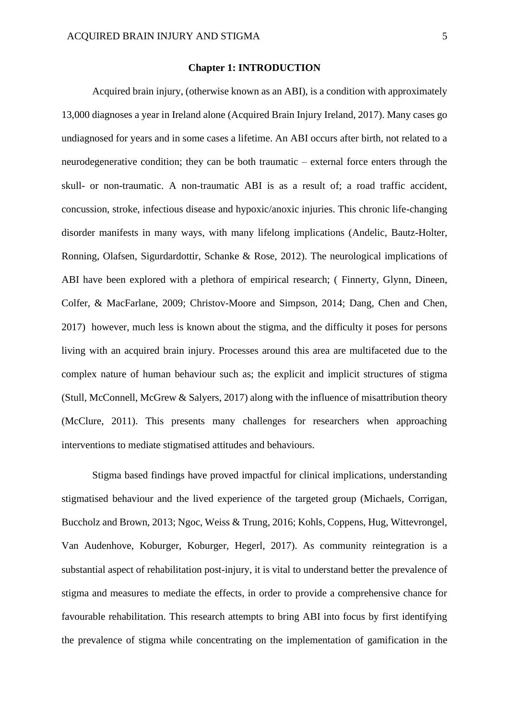#### **Chapter 1: INTRODUCTION**

<span id="page-5-0"></span>Acquired brain injury, (otherwise known as an ABI), is a condition with approximately 13,000 diagnoses a year in Ireland alone (Acquired Brain Injury Ireland, 2017). Many cases go undiagnosed for years and in some cases a lifetime. An ABI occurs after birth, not related to a neurodegenerative condition; they can be both traumatic – external force enters through the skull- or non-traumatic. A non-traumatic ABI is as a result of; a road traffic accident, concussion, stroke, infectious disease and hypoxic/anoxic injuries. This chronic life-changing disorder manifests in many ways, with many lifelong implications (Andelic, Bautz-Holter, Ronning, Olafsen, Sigurdardottir, Schanke & Rose, 2012). The neurological implications of ABI have been explored with a plethora of empirical research; ( Finnerty, Glynn, Dineen, Colfer, & MacFarlane, 2009; Christov-Moore and Simpson, 2014; Dang, Chen and Chen, 2017) however, much less is known about the stigma, and the difficulty it poses for persons living with an acquired brain injury. Processes around this area are multifaceted due to the complex nature of human behaviour such as; the explicit and implicit structures of stigma (Stull, McConnell, McGrew & Salyers, 2017) along with the influence of misattribution theory (McClure, 2011). This presents many challenges for researchers when approaching interventions to mediate stigmatised attitudes and behaviours.

Stigma based findings have proved impactful for clinical implications, understanding stigmatised behaviour and the lived experience of the targeted group (Michaels, Corrigan, Buccholz and Brown, 2013; Ngoc, Weiss & Trung, 2016; Kohls, Coppens, Hug, Wittevrongel, Van Audenhove, Koburger, Koburger, Hegerl, 2017). As community reintegration is a substantial aspect of rehabilitation post-injury, it is vital to understand better the prevalence of stigma and measures to mediate the effects, in order to provide a comprehensive chance for favourable rehabilitation. This research attempts to bring ABI into focus by first identifying the prevalence of stigma while concentrating on the implementation of gamification in the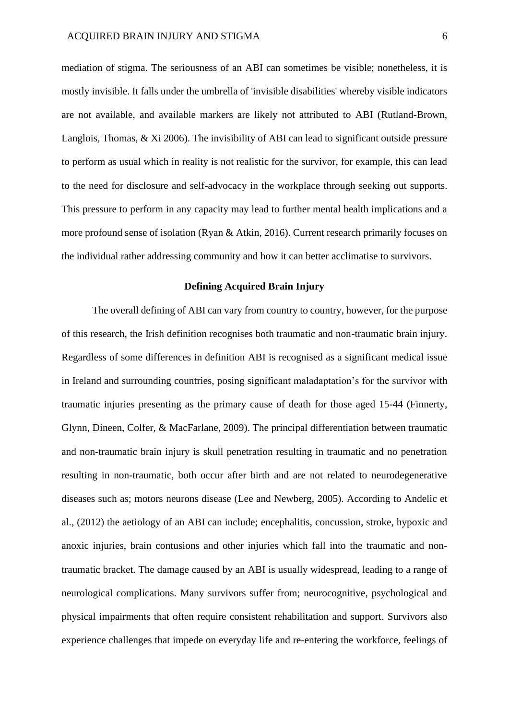mediation of stigma. The seriousness of an ABI can sometimes be visible; nonetheless, it is mostly invisible. It falls under the umbrella of 'invisible disabilities' whereby visible indicators are not available, and available markers are likely not attributed to ABI (Rutland-Brown, Langlois, Thomas, & Xi 2006). The invisibility of ABI can lead to significant outside pressure to perform as usual which in reality is not realistic for the survivor, for example, this can lead to the need for disclosure and self-advocacy in the workplace through seeking out supports. This pressure to perform in any capacity may lead to further mental health implications and a more profound sense of isolation (Ryan & Atkin, 2016). Current research primarily focuses on the individual rather addressing community and how it can better acclimatise to survivors.

## **Defining Acquired Brain Injury**

<span id="page-6-0"></span>The overall defining of ABI can vary from country to country, however, for the purpose of this research, the Irish definition recognises both traumatic and non-traumatic brain injury. Regardless of some differences in definition ABI is recognised as a significant medical issue in Ireland and surrounding countries, posing significant maladaptation's for the survivor with traumatic injuries presenting as the primary cause of death for those aged 15-44 (Finnerty, Glynn, Dineen, Colfer, & MacFarlane, 2009). The principal differentiation between traumatic and non-traumatic brain injury is skull penetration resulting in traumatic and no penetration resulting in non-traumatic, both occur after birth and are not related to neurodegenerative diseases such as; motors neurons disease (Lee and Newberg, 2005). According to Andelic et al., (2012) the aetiology of an ABI can include; encephalitis, concussion, stroke, hypoxic and anoxic injuries, brain contusions and other injuries which fall into the traumatic and nontraumatic bracket. The damage caused by an ABI is usually widespread, leading to a range of neurological complications. Many survivors suffer from; neurocognitive, psychological and physical impairments that often require consistent rehabilitation and support. Survivors also experience challenges that impede on everyday life and re-entering the workforce, feelings of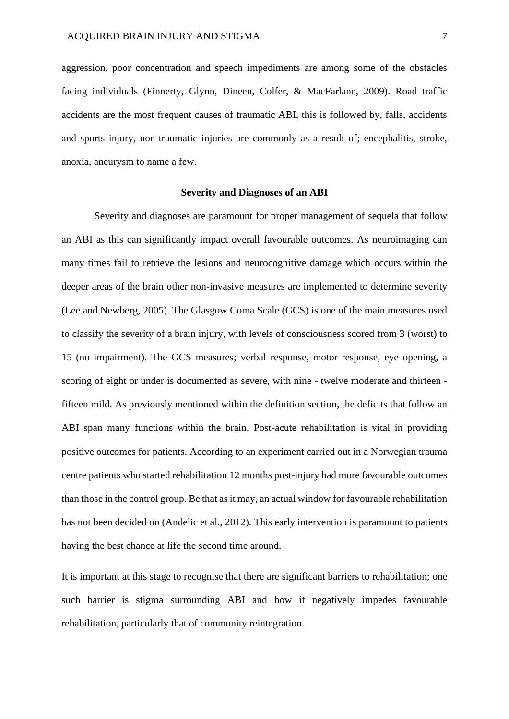aggression, poor concentration and speech impediments are among some of the obstacles facing individuals (Finnerty, Glynn, Dineen, Colfer, & MacFarlane, 2009). Road traffic accidents are the most frequent causes of traumatic ABI, this is followed by, falls, accidents and sports injury, non-traumatic injuries are commonly as a result of; encephalitis, stroke, anoxia, aneurysm to name a few.

#### **Severity and Diagnoses of an ABI**

<span id="page-7-0"></span>Severity and diagnoses are paramount for proper management of sequela that follow an ABI as this can significantly impact overall favourable outcomes. As neuroimaging can many times fail to retrieve the lesions and neurocognitive damage which occurs within the deeper areas of the brain other non-invasive measures are implemented to determine severity (Lee and Newberg, 2005). The Glasgow Coma Scale (GCS) is one of the main measures used to classify the severity of a brain injury, with levels of consciousness scored from 3 (worst) to 15 (no impairment). The GCS measures; verbal response, motor response, eye opening, a scoring of eight or under is documented as severe, with nine - twelve moderate and thirteen fifteen mild. As previously mentioned within the definition section, the deficits that follow an ABI span many functions within the brain. Post-acute rehabilitation is vital in providing positive outcomes for patients. According to an experiment carried out in a Norwegian trauma centre patients who started rehabilitation 12 months post-injury had more favourable outcomes than those in the control group. Be that as it may, an actual window for favourable rehabilitation has not been decided on (Andelic et al., 2012). This early intervention is paramount to patients having the best chance at life the second time around.

It is important at this stage to recognise that there are significant barriers to rehabilitation; one such barrier is stigma surrounding ABI and how it negatively impedes favourable rehabilitation, particularly that of community reintegration.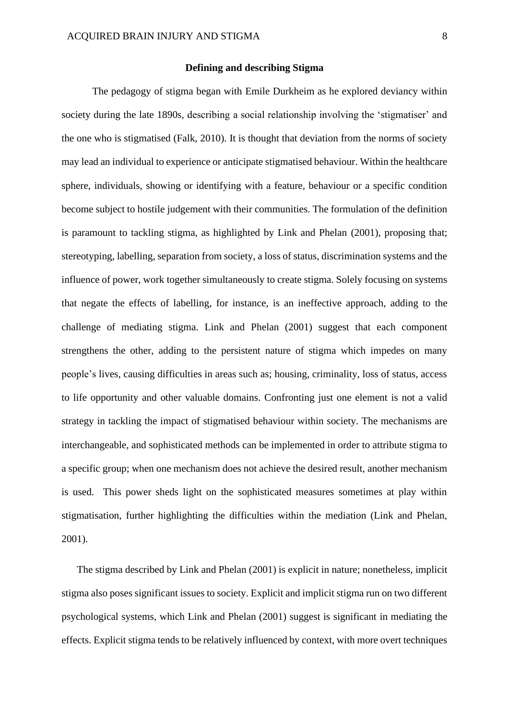#### **Defining and describing Stigma**

<span id="page-8-0"></span>The pedagogy of stigma began with Emile Durkheim as he explored deviancy within society during the late 1890s, describing a social relationship involving the 'stigmatiser' and the one who is stigmatised (Falk, 2010). It is thought that deviation from the norms of society may lead an individual to experience or anticipate stigmatised behaviour. Within the healthcare sphere, individuals, showing or identifying with a feature, behaviour or a specific condition become subject to hostile judgement with their communities. The formulation of the definition is paramount to tackling stigma, as highlighted by Link and Phelan (2001), proposing that; stereotyping, labelling, separation from society, a loss of status, discrimination systems and the influence of power, work together simultaneously to create stigma. Solely focusing on systems that negate the effects of labelling, for instance, is an ineffective approach, adding to the challenge of mediating stigma. Link and Phelan (2001) suggest that each component strengthens the other, adding to the persistent nature of stigma which impedes on many people's lives, causing difficulties in areas such as; housing, criminality, loss of status, access to life opportunity and other valuable domains. Confronting just one element is not a valid strategy in tackling the impact of stigmatised behaviour within society. The mechanisms are interchangeable, and sophisticated methods can be implemented in order to attribute stigma to a specific group; when one mechanism does not achieve the desired result, another mechanism is used. This power sheds light on the sophisticated measures sometimes at play within stigmatisation, further highlighting the difficulties within the mediation (Link and Phelan, 2001).

The stigma described by Link and Phelan (2001) is explicit in nature; nonetheless, implicit stigma also poses significant issues to society. Explicit and implicit stigma run on two different psychological systems, which Link and Phelan (2001) suggest is significant in mediating the effects. Explicit stigma tends to be relatively influenced by context, with more overt techniques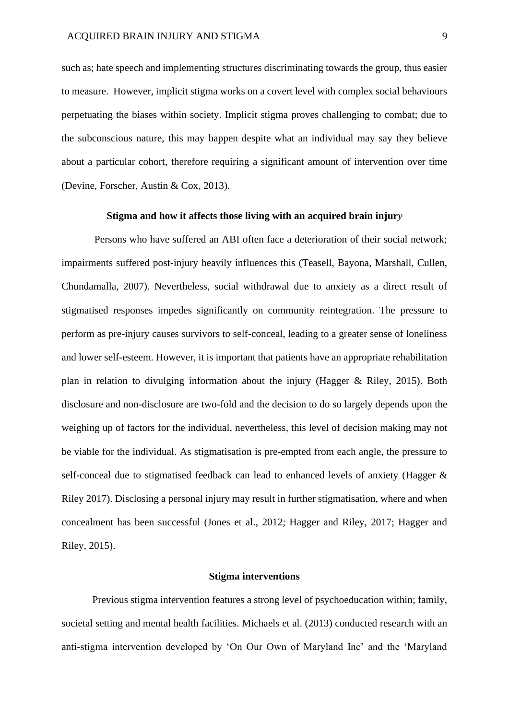such as; hate speech and implementing structures discriminating towards the group, thus easier to measure. However, implicit stigma works on a covert level with complex social behaviours perpetuating the biases within society. Implicit stigma proves challenging to combat; due to the subconscious nature, this may happen despite what an individual may say they believe about a particular cohort, therefore requiring a significant amount of intervention over time (Devine, Forscher, Austin & Cox, 2013).

#### **Stigma and how it affects those living with an acquired brain injur***y*

<span id="page-9-0"></span>Persons who have suffered an ABI often face a deterioration of their social network; impairments suffered post-injury heavily influences this (Teasell, Bayona, Marshall, Cullen, Chundamalla, 2007). Nevertheless, social withdrawal due to anxiety as a direct result of stigmatised responses impedes significantly on community reintegration. The pressure to perform as pre-injury causes survivors to self-conceal, leading to a greater sense of loneliness and lower self-esteem. However, it is important that patients have an appropriate rehabilitation plan in relation to divulging information about the injury (Hagger & Riley, 2015). Both disclosure and non-disclosure are two-fold and the decision to do so largely depends upon the weighing up of factors for the individual, nevertheless, this level of decision making may not be viable for the individual. As stigmatisation is pre-empted from each angle, the pressure to self-conceal due to stigmatised feedback can lead to enhanced levels of anxiety (Hagger & Riley 2017). Disclosing a personal injury may result in further stigmatisation, where and when concealment has been successful (Jones et al., 2012; Hagger and Riley, 2017; Hagger and Riley, 2015).

#### **Stigma interventions**

<span id="page-9-1"></span>Previous stigma intervention features a strong level of psychoeducation within; family, societal setting and mental health facilities. Michaels et al. (2013) conducted research with an anti-stigma intervention developed by 'On Our Own of Maryland Inc' and the 'Maryland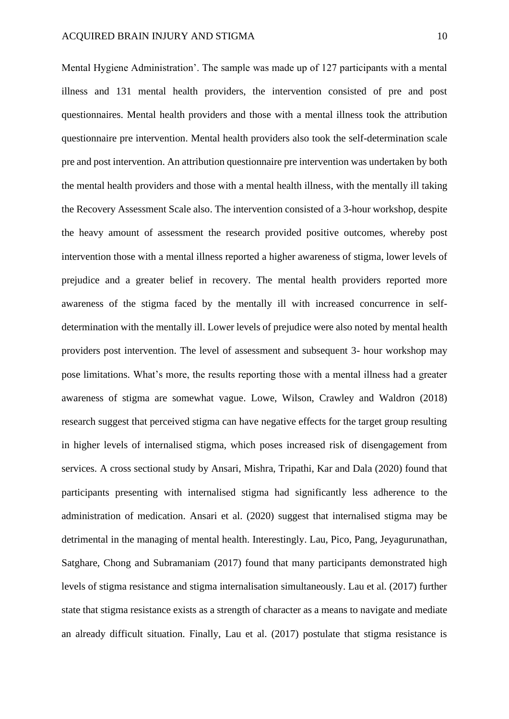Mental Hygiene Administration'. The sample was made up of 127 participants with a mental illness and 131 mental health providers, the intervention consisted of pre and post questionnaires. Mental health providers and those with a mental illness took the attribution questionnaire pre intervention. Mental health providers also took the self-determination scale pre and post intervention. An attribution questionnaire pre intervention was undertaken by both the mental health providers and those with a mental health illness, with the mentally ill taking the Recovery Assessment Scale also. The intervention consisted of a 3-hour workshop, despite the heavy amount of assessment the research provided positive outcomes, whereby post intervention those with a mental illness reported a higher awareness of stigma, lower levels of prejudice and a greater belief in recovery. The mental health providers reported more awareness of the stigma faced by the mentally ill with increased concurrence in selfdetermination with the mentally ill. Lower levels of prejudice were also noted by mental health providers post intervention. The level of assessment and subsequent 3- hour workshop may pose limitations. What's more, the results reporting those with a mental illness had a greater awareness of stigma are somewhat vague. Lowe, Wilson, Crawley and Waldron (2018) research suggest that perceived stigma can have negative effects for the target group resulting in higher levels of internalised stigma, which poses increased risk of disengagement from services. A cross sectional study by Ansari, Mishra, Tripathi, Kar and Dala (2020) found that participants presenting with internalised stigma had significantly less adherence to the administration of medication. Ansari et al. (2020) suggest that internalised stigma may be detrimental in the managing of mental health. Interestingly. Lau, Pico, Pang, Jeyagurunathan, Satghare, Chong and Subramaniam (2017) found that many participants demonstrated high levels of stigma resistance and stigma internalisation simultaneously. Lau et al. (2017) further state that stigma resistance exists as a strength of character as a means to navigate and mediate an already difficult situation. Finally, Lau et al. (2017) postulate that stigma resistance is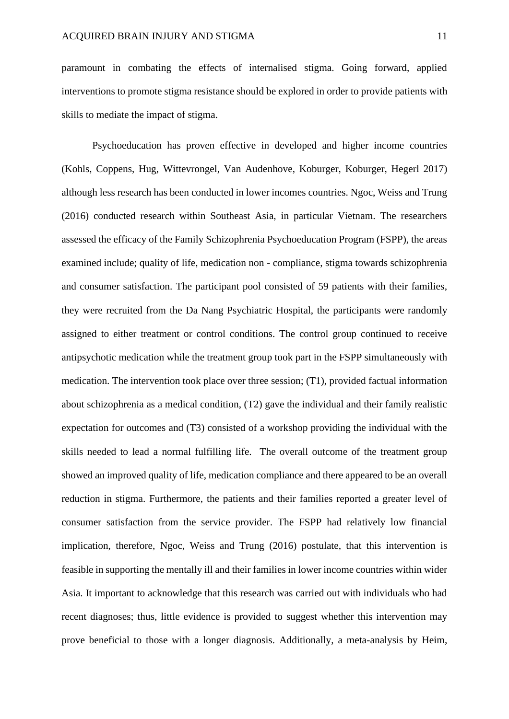paramount in combating the effects of internalised stigma. Going forward, applied interventions to promote stigma resistance should be explored in order to provide patients with skills to mediate the impact of stigma.

Psychoeducation has proven effective in developed and higher income countries (Kohls, Coppens, Hug, Wittevrongel, Van Audenhove, Koburger, Koburger, Hegerl 2017) although less research has been conducted in lower incomes countries. Ngoc, Weiss and Trung (2016) conducted research within Southeast Asia, in particular Vietnam. The researchers assessed the efficacy of the Family Schizophrenia Psychoeducation Program (FSPP), the areas examined include; quality of life, medication non - compliance, stigma towards schizophrenia and consumer satisfaction. The participant pool consisted of 59 patients with their families, they were recruited from the Da Nang Psychiatric Hospital, the participants were randomly assigned to either treatment or control conditions. The control group continued to receive antipsychotic medication while the treatment group took part in the FSPP simultaneously with medication. The intervention took place over three session; (T1), provided factual information about schizophrenia as a medical condition, (T2) gave the individual and their family realistic expectation for outcomes and (T3) consisted of a workshop providing the individual with the skills needed to lead a normal fulfilling life. The overall outcome of the treatment group showed an improved quality of life, medication compliance and there appeared to be an overall reduction in stigma. Furthermore, the patients and their families reported a greater level of consumer satisfaction from the service provider. The FSPP had relatively low financial implication, therefore, Ngoc, Weiss and Trung (2016) postulate, that this intervention is feasible in supporting the mentally ill and their families in lower income countries within wider Asia. It important to acknowledge that this research was carried out with individuals who had recent diagnoses; thus, little evidence is provided to suggest whether this intervention may prove beneficial to those with a longer diagnosis. Additionally, a meta-analysis by Heim,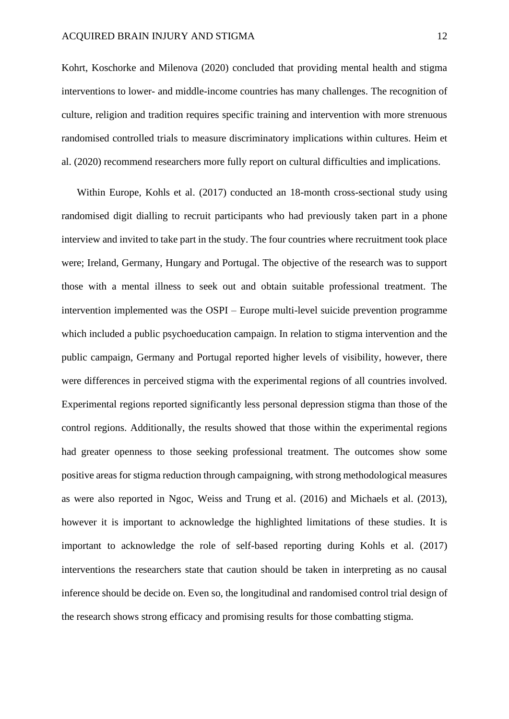Kohrt, Koschorke and Milenova (2020) concluded that providing mental health and stigma interventions to lower- and middle-income countries has many challenges. The recognition of culture, religion and tradition requires specific training and intervention with more strenuous randomised controlled trials to measure discriminatory implications within cultures. Heim et al. (2020) recommend researchers more fully report on cultural difficulties and implications.

Within Europe, Kohls et al. (2017) conducted an 18-month cross-sectional study using randomised digit dialling to recruit participants who had previously taken part in a phone interview and invited to take part in the study. The four countries where recruitment took place were; Ireland, Germany, Hungary and Portugal. The objective of the research was to support those with a mental illness to seek out and obtain suitable professional treatment. The intervention implemented was the OSPI – Europe multi-level suicide prevention programme which included a public psychoeducation campaign. In relation to stigma intervention and the public campaign, Germany and Portugal reported higher levels of visibility, however, there were differences in perceived stigma with the experimental regions of all countries involved. Experimental regions reported significantly less personal depression stigma than those of the control regions. Additionally, the results showed that those within the experimental regions had greater openness to those seeking professional treatment. The outcomes show some positive areas for stigma reduction through campaigning, with strong methodological measures as were also reported in Ngoc, Weiss and Trung et al. (2016) and Michaels et al. (2013), however it is important to acknowledge the highlighted limitations of these studies. It is important to acknowledge the role of self-based reporting during Kohls et al. (2017) interventions the researchers state that caution should be taken in interpreting as no causal inference should be decide on. Even so, the longitudinal and randomised control trial design of the research shows strong efficacy and promising results for those combatting stigma.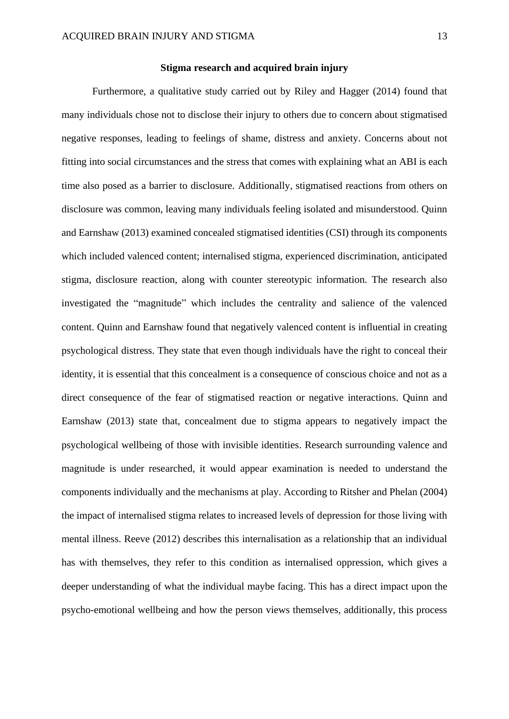#### **Stigma research and acquired brain injury**

<span id="page-13-0"></span>Furthermore, a qualitative study carried out by Riley and Hagger (2014) found that many individuals chose not to disclose their injury to others due to concern about stigmatised negative responses, leading to feelings of shame, distress and anxiety. Concerns about not fitting into social circumstances and the stress that comes with explaining what an ABI is each time also posed as a barrier to disclosure. Additionally, stigmatised reactions from others on disclosure was common, leaving many individuals feeling isolated and misunderstood. Quinn and Earnshaw (2013) examined concealed stigmatised identities (CSI) through its components which included valenced content; internalised stigma, experienced discrimination, anticipated stigma, disclosure reaction, along with counter stereotypic information. The research also investigated the "magnitude" which includes the centrality and salience of the valenced content. Quinn and Earnshaw found that negatively valenced content is influential in creating psychological distress. They state that even though individuals have the right to conceal their identity, it is essential that this concealment is a consequence of conscious choice and not as a direct consequence of the fear of stigmatised reaction or negative interactions. Quinn and Earnshaw (2013) state that, concealment due to stigma appears to negatively impact the psychological wellbeing of those with invisible identities. Research surrounding valence and magnitude is under researched, it would appear examination is needed to understand the components individually and the mechanisms at play. According to Ritsher and Phelan (2004) the impact of internalised stigma relates to increased levels of depression for those living with mental illness. Reeve (2012) describes this internalisation as a relationship that an individual has with themselves, they refer to this condition as internalised oppression, which gives a deeper understanding of what the individual maybe facing. This has a direct impact upon the psycho-emotional wellbeing and how the person views themselves, additionally, this process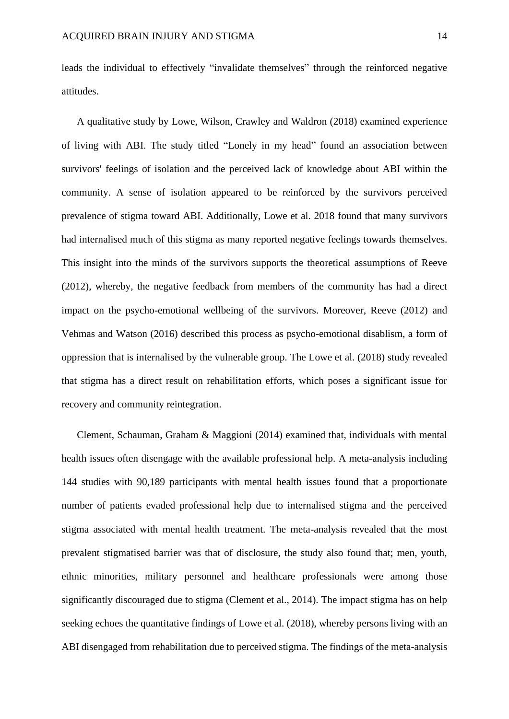leads the individual to effectively "invalidate themselves" through the reinforced negative attitudes.

A qualitative study by Lowe, Wilson, Crawley and Waldron (2018) examined experience of living with ABI. The study titled "Lonely in my head" found an association between survivors' feelings of isolation and the perceived lack of knowledge about ABI within the community. A sense of isolation appeared to be reinforced by the survivors perceived prevalence of stigma toward ABI. Additionally, Lowe et al. 2018 found that many survivors had internalised much of this stigma as many reported negative feelings towards themselves. This insight into the minds of the survivors supports the theoretical assumptions of Reeve (2012), whereby, the negative feedback from members of the community has had a direct impact on the psycho-emotional wellbeing of the survivors. Moreover, Reeve (2012) and Vehmas and Watson (2016) described this process as psycho-emotional disablism, a form of oppression that is internalised by the vulnerable group. The Lowe et al. (2018) study revealed that stigma has a direct result on rehabilitation efforts, which poses a significant issue for recovery and community reintegration.

Clement, Schauman, Graham & Maggioni (2014) examined that, individuals with mental health issues often disengage with the available professional help. A meta-analysis including 144 studies with 90,189 participants with mental health issues found that a proportionate number of patients evaded professional help due to internalised stigma and the perceived stigma associated with mental health treatment. The meta-analysis revealed that the most prevalent stigmatised barrier was that of disclosure, the study also found that; men, youth, ethnic minorities, military personnel and healthcare professionals were among those significantly discouraged due to stigma (Clement et al., 2014). The impact stigma has on help seeking echoes the quantitative findings of Lowe et al. (2018), whereby persons living with an ABI disengaged from rehabilitation due to perceived stigma. The findings of the meta-analysis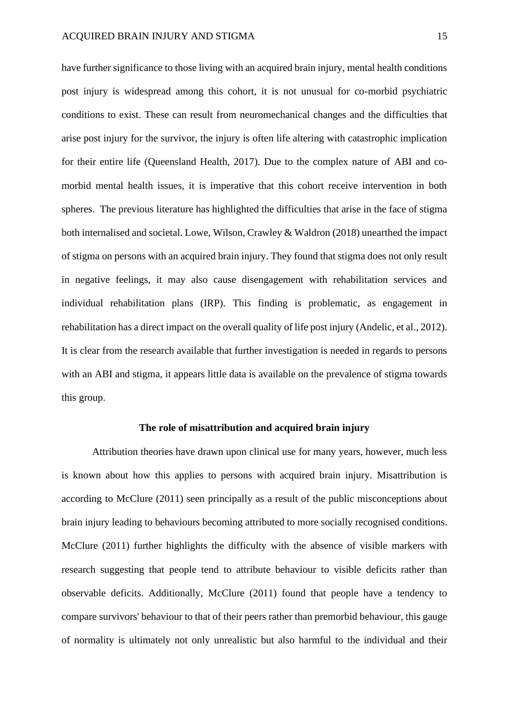have further significance to those living with an acquired brain injury, mental health conditions post injury is widespread among this cohort, it is not unusual for co-morbid psychiatric conditions to exist. These can result from neuromechanical changes and the difficulties that arise post injury for the survivor, the injury is often life altering with catastrophic implication for their entire life (Queensland Health, 2017). Due to the complex nature of ABI and comorbid mental health issues, it is imperative that this cohort receive intervention in both spheres. The previous literature has highlighted the difficulties that arise in the face of stigma both internalised and societal. Lowe, Wilson, Crawley & Waldron (2018) unearthed the impact of stigma on persons with an acquired brain injury. They found that stigma does not only result in negative feelings, it may also cause disengagement with rehabilitation services and individual rehabilitation plans (IRP). This finding is problematic, as engagement in rehabilitation has a direct impact on the overall quality of life post injury (Andelic, et al., 2012). It is clear from the research available that further investigation is needed in regards to persons with an ABI and stigma, it appears little data is available on the prevalence of stigma towards this group.

#### **The role of misattribution and acquired brain injury**

<span id="page-15-0"></span>Attribution theories have drawn upon clinical use for many years, however, much less is known about how this applies to persons with acquired brain injury. Misattribution is according to McClure (2011) seen principally as a result of the public misconceptions about brain injury leading to behaviours becoming attributed to more socially recognised conditions. McClure (2011) further highlights the difficulty with the absence of visible markers with research suggesting that people tend to attribute behaviour to visible deficits rather than observable deficits. Additionally, McClure (2011) found that people have a tendency to compare survivors' behaviour to that of their peers rather than premorbid behaviour, this gauge of normality is ultimately not only unrealistic but also harmful to the individual and their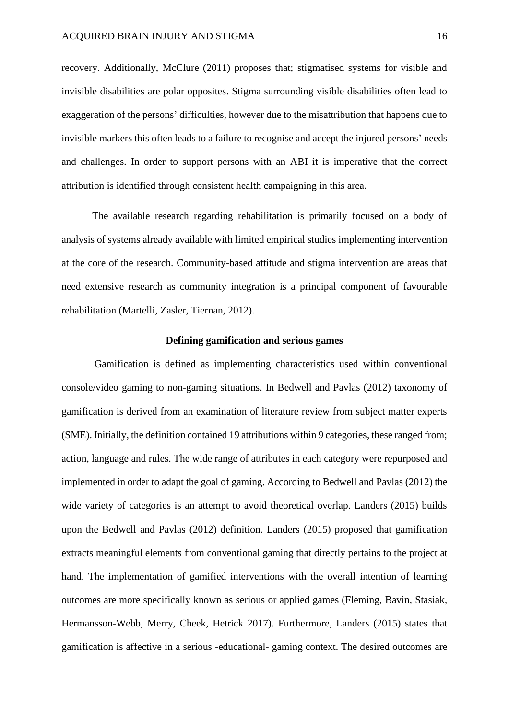recovery. Additionally, McClure (2011) proposes that; stigmatised systems for visible and invisible disabilities are polar opposites. Stigma surrounding visible disabilities often lead to exaggeration of the persons' difficulties, however due to the misattribution that happens due to invisible markers this often leads to a failure to recognise and accept the injured persons' needs and challenges. In order to support persons with an ABI it is imperative that the correct attribution is identified through consistent health campaigning in this area.

The available research regarding rehabilitation is primarily focused on a body of analysis of systems already available with limited empirical studies implementing intervention at the core of the research. Community-based attitude and stigma intervention are areas that need extensive research as community integration is a principal component of favourable rehabilitation (Martelli, Zasler, Tiernan, 2012).

#### **Defining gamification and serious games**

<span id="page-16-0"></span>Gamification is defined as implementing characteristics used within conventional console/video gaming to non-gaming situations. In Bedwell and Pavlas (2012) taxonomy of gamification is derived from an examination of literature review from subject matter experts (SME). Initially, the definition contained 19 attributions within 9 categories, these ranged from; action, language and rules. The wide range of attributes in each category were repurposed and implemented in order to adapt the goal of gaming. According to Bedwell and Pavlas (2012) the wide variety of categories is an attempt to avoid theoretical overlap. Landers (2015) builds upon the Bedwell and Pavlas (2012) definition. Landers (2015) proposed that gamification extracts meaningful elements from conventional gaming that directly pertains to the project at hand. The implementation of gamified interventions with the overall intention of learning outcomes are more specifically known as serious or applied games (Fleming, Bavin, Stasiak, Hermansson-Webb, Merry, Cheek, Hetrick 2017). Furthermore, Landers (2015) states that gamification is affective in a serious -educational- gaming context. The desired outcomes are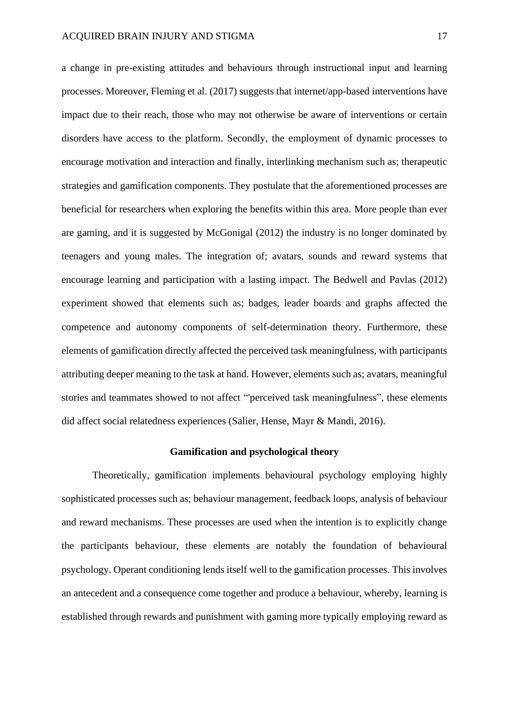a change in pre-existing attitudes and behaviours through instructional input and learning processes. Moreover, Fleming et al. (2017) suggests that internet/app-based interventions have impact due to their reach, those who may not otherwise be aware of interventions or certain disorders have access to the platform. Secondly, the employment of dynamic processes to encourage motivation and interaction and finally, interlinking mechanism such as; therapeutic strategies and gamification components. They postulate that the aforementioned processes are beneficial for researchers when exploring the benefits within this area. More people than ever are gaming, and it is suggested by McGonigal (2012) the industry is no longer dominated by teenagers and young males. The integration of; avatars, sounds and reward systems that encourage learning and participation with a lasting impact. The Bedwell and Pavlas (2012) experiment showed that elements such as; badges, leader boards and graphs affected the competence and autonomy components of self-determination theory. Furthermore, these elements of gamification directly affected the perceived task meaningfulness, with participants attributing deeper meaning to the task at hand. However, elements such as; avatars, meaningful stories and teammates showed to not affect "'perceived task meaningfulness", these elements did affect social relatedness experiences (Salier, Hense, Mayr & Mandi, 2016).

#### **Gamification and psychological theory**

<span id="page-17-0"></span>Theoretically, gamification implements behavioural psychology employing highly sophisticated processes such as; behaviour management, feedback loops, analysis of behaviour and reward mechanisms. These processes are used when the intention is to explicitly change the participants behaviour, these elements are notably the foundation of behavioural psychology. Operant conditioning lends itself well to the gamification processes. This involves an antecedent and a consequence come together and produce a behaviour, whereby, learning is established through rewards and punishment with gaming more typically employing reward as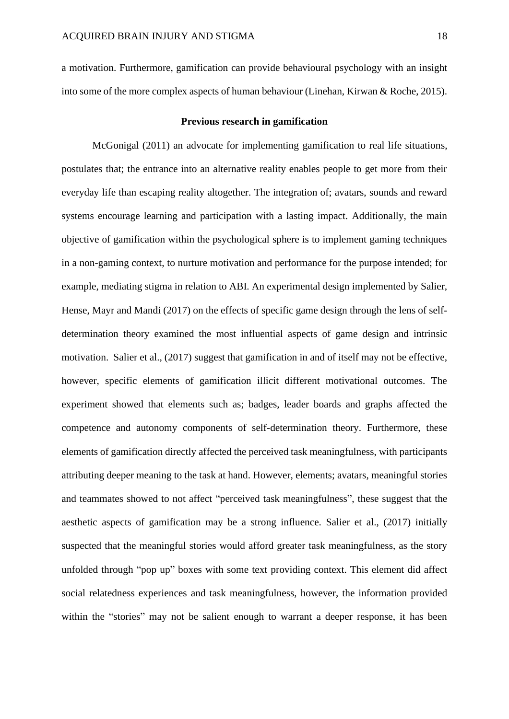a motivation. Furthermore, gamification can provide behavioural psychology with an insight into some of the more complex aspects of human behaviour (Linehan, Kirwan & Roche, 2015).

#### **Previous research in gamification**

<span id="page-18-0"></span>McGonigal (2011) an advocate for implementing gamification to real life situations, postulates that; the entrance into an alternative reality enables people to get more from their everyday life than escaping reality altogether. The integration of; avatars, sounds and reward systems encourage learning and participation with a lasting impact. Additionally, the main objective of gamification within the psychological sphere is to implement gaming techniques in a non-gaming context, to nurture motivation and performance for the purpose intended; for example, mediating stigma in relation to ABI. An experimental design implemented by Salier, Hense, Mayr and Mandi (2017) on the effects of specific game design through the lens of selfdetermination theory examined the most influential aspects of game design and intrinsic motivation. Salier et al., (2017) suggest that gamification in and of itself may not be effective, however, specific elements of gamification illicit different motivational outcomes. The experiment showed that elements such as; badges, leader boards and graphs affected the competence and autonomy components of self-determination theory. Furthermore, these elements of gamification directly affected the perceived task meaningfulness, with participants attributing deeper meaning to the task at hand. However, elements; avatars, meaningful stories and teammates showed to not affect "perceived task meaningfulness", these suggest that the aesthetic aspects of gamification may be a strong influence. Salier et al., (2017) initially suspected that the meaningful stories would afford greater task meaningfulness, as the story unfolded through "pop up" boxes with some text providing context. This element did affect social relatedness experiences and task meaningfulness, however, the information provided within the "stories" may not be salient enough to warrant a deeper response, it has been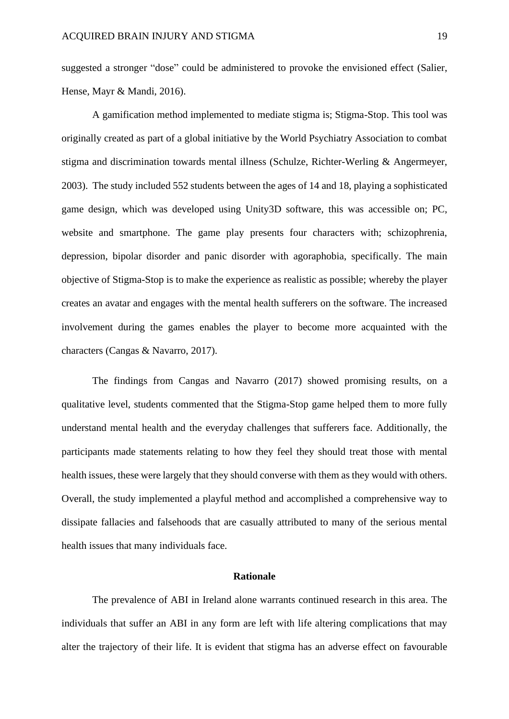suggested a stronger "dose" could be administered to provoke the envisioned effect (Salier, Hense, Mayr & Mandi, 2016).

A gamification method implemented to mediate stigma is; Stigma-Stop. This tool was originally created as part of a global initiative by the World Psychiatry Association to combat stigma and discrimination towards mental illness (Schulze, Richter-Werling & Angermeyer, 2003). The study included 552 students between the ages of 14 and 18, playing a sophisticated game design, which was developed using Unity3D software, this was accessible on; PC, website and smartphone. The game play presents four characters with; schizophrenia, depression, bipolar disorder and panic disorder with agoraphobia, specifically. The main objective of Stigma-Stop is to make the experience as realistic as possible; whereby the player creates an avatar and engages with the mental health sufferers on the software. The increased involvement during the games enables the player to become more acquainted with the characters (Cangas & Navarro, 2017).

The findings from Cangas and Navarro (2017) showed promising results, on a qualitative level, students commented that the Stigma-Stop game helped them to more fully understand mental health and the everyday challenges that sufferers face. Additionally, the participants made statements relating to how they feel they should treat those with mental health issues, these were largely that they should converse with them as they would with others. Overall, the study implemented a playful method and accomplished a comprehensive way to dissipate fallacies and falsehoods that are casually attributed to many of the serious mental health issues that many individuals face.

## **Rationale**

<span id="page-19-0"></span>The prevalence of ABI in Ireland alone warrants continued research in this area. The individuals that suffer an ABI in any form are left with life altering complications that may alter the trajectory of their life. It is evident that stigma has an adverse effect on favourable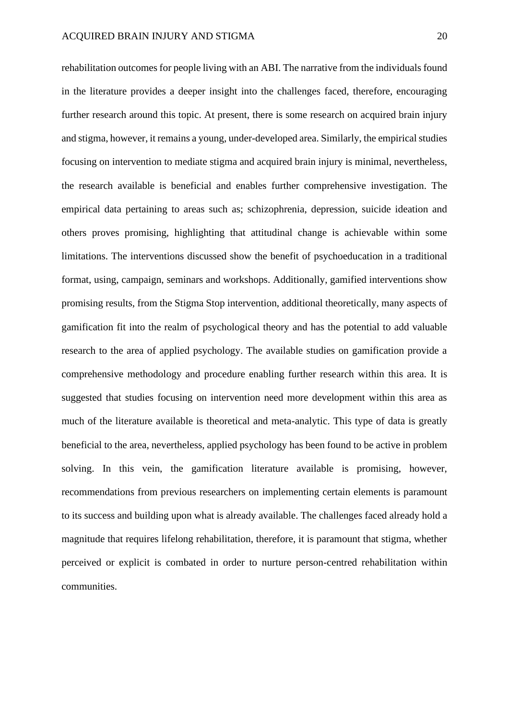rehabilitation outcomes for people living with an ABI. The narrative from the individuals found in the literature provides a deeper insight into the challenges faced, therefore, encouraging further research around this topic. At present, there is some research on acquired brain injury and stigma, however, it remains a young, under-developed area. Similarly, the empirical studies focusing on intervention to mediate stigma and acquired brain injury is minimal, nevertheless, the research available is beneficial and enables further comprehensive investigation. The empirical data pertaining to areas such as; schizophrenia, depression, suicide ideation and others proves promising, highlighting that attitudinal change is achievable within some limitations. The interventions discussed show the benefit of psychoeducation in a traditional format, using, campaign, seminars and workshops. Additionally, gamified interventions show promising results, from the Stigma Stop intervention, additional theoretically, many aspects of gamification fit into the realm of psychological theory and has the potential to add valuable research to the area of applied psychology. The available studies on gamification provide a comprehensive methodology and procedure enabling further research within this area. It is suggested that studies focusing on intervention need more development within this area as much of the literature available is theoretical and meta-analytic. This type of data is greatly beneficial to the area, nevertheless, applied psychology has been found to be active in problem solving. In this vein, the gamification literature available is promising, however, recommendations from previous researchers on implementing certain elements is paramount to its success and building upon what is already available. The challenges faced already hold a magnitude that requires lifelong rehabilitation, therefore, it is paramount that stigma, whether perceived or explicit is combated in order to nurture person-centred rehabilitation within communities.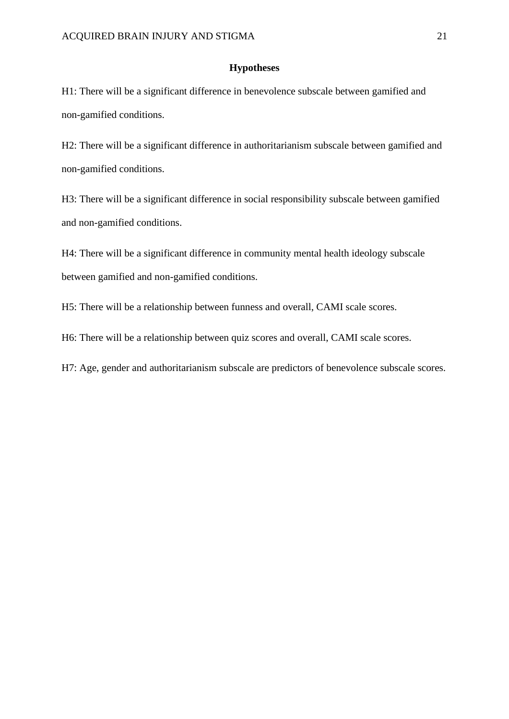## **Hypotheses**

<span id="page-21-0"></span>H1: There will be a significant difference in benevolence subscale between gamified and non-gamified conditions.

H2: There will be a significant difference in authoritarianism subscale between gamified and non-gamified conditions.

H3: There will be a significant difference in social responsibility subscale between gamified and non-gamified conditions.

H4: There will be a significant difference in community mental health ideology subscale between gamified and non-gamified conditions.

H5: There will be a relationship between funness and overall, CAMI scale scores.

H6: There will be a relationship between quiz scores and overall, CAMI scale scores.

H7: Age, gender and authoritarianism subscale are predictors of benevolence subscale scores.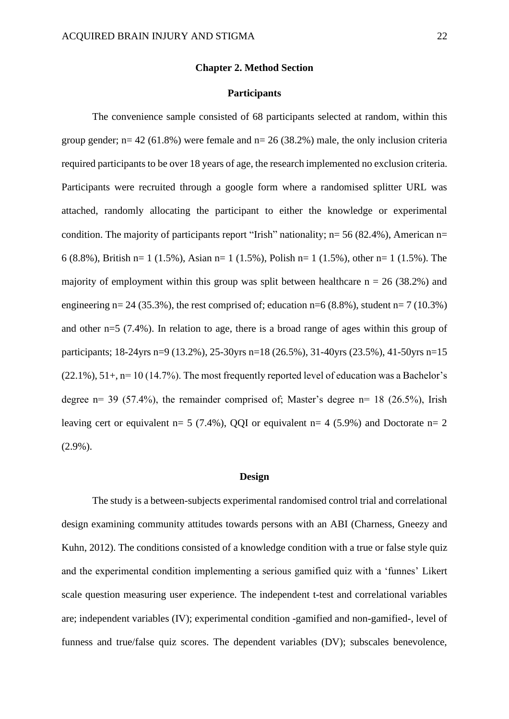#### **Chapter 2. Method Section**

## **Participants**

<span id="page-22-1"></span><span id="page-22-0"></span>The convenience sample consisted of 68 participants selected at random, within this group gender;  $n= 42$  (61.8%) were female and  $n= 26$  (38.2%) male, the only inclusion criteria required participants to be over 18 years of age, the research implemented no exclusion criteria. Participants were recruited through a google form where a randomised splitter URL was attached, randomly allocating the participant to either the knowledge or experimental condition. The majority of participants report "Irish" nationality;  $n= 56 (82.4%)$ , American  $n=$ 6 (8.8%), British n= 1 (1.5%), Asian n= 1 (1.5%), Polish n= 1 (1.5%), other n= 1 (1.5%). The majority of employment within this group was split between healthcare  $n = 26$  (38.2%) and engineering  $n= 24$  (35.3%), the rest comprised of; education  $n=6$  (8.8%), student  $n=7$  (10.3%) and other n=5 (7.4%). In relation to age, there is a broad range of ages within this group of participants; 18-24yrs n=9 (13.2%), 25-30yrs n=18 (26.5%), 31-40yrs (23.5%), 41-50yrs n=15  $(22.1\%)$ , 51+, n= 10 (14.7%). The most frequently reported level of education was a Bachelor's degree n= 39 (57.4%), the remainder comprised of; Master's degree n= 18 (26.5%), Irish leaving cert or equivalent n= 5 (7.4%), QQI or equivalent n= 4 (5.9%) and Doctorate n= 2 (2.9%).

#### **Design**

<span id="page-22-2"></span>The study is a between-subjects experimental randomised control trial and correlational design examining community attitudes towards persons with an ABI (Charness, Gneezy and Kuhn, 2012). The conditions consisted of a knowledge condition with a true or false style quiz and the experimental condition implementing a serious gamified quiz with a 'funnes' Likert scale question measuring user experience. The independent t-test and correlational variables are; independent variables (IV); experimental condition -gamified and non-gamified-, level of funness and true/false quiz scores. The dependent variables (DV); subscales benevolence,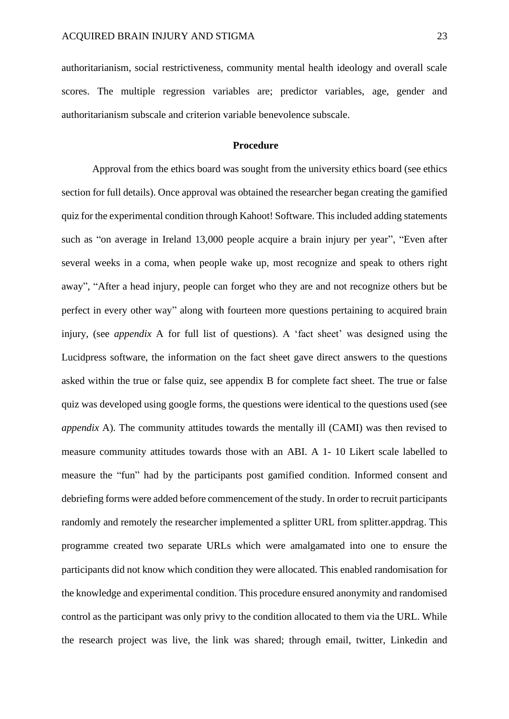authoritarianism, social restrictiveness, community mental health ideology and overall scale scores. The multiple regression variables are; predictor variables, age, gender and authoritarianism subscale and criterion variable benevolence subscale.

## <span id="page-23-0"></span>**Procedure**

Approval from the ethics board was sought from the university ethics board (see ethics section for full details). Once approval was obtained the researcher began creating the gamified quiz for the experimental condition through Kahoot! Software. This included adding statements such as "on average in Ireland 13,000 people acquire a brain injury per year", "Even after several weeks in a coma, when people wake up, most recognize and speak to others right away", "After a head injury, people can forget who they are and not recognize others but be perfect in every other way" along with fourteen more questions pertaining to acquired brain injury, (see *appendix* A for full list of questions). A 'fact sheet' was designed using the Lucidpress software, the information on the fact sheet gave direct answers to the questions asked within the true or false quiz, see appendix B for complete fact sheet. The true or false quiz was developed using google forms, the questions were identical to the questions used (see *appendix* A). The community attitudes towards the mentally ill (CAMI) was then revised to measure community attitudes towards those with an ABI. A 1- 10 Likert scale labelled to measure the "fun" had by the participants post gamified condition. Informed consent and debriefing forms were added before commencement of the study. In order to recruit participants randomly and remotely the researcher implemented a splitter URL from splitter.appdrag. This programme created two separate URLs which were amalgamated into one to ensure the participants did not know which condition they were allocated. This enabled randomisation for the knowledge and experimental condition. This procedure ensured anonymity and randomised control as the participant was only privy to the condition allocated to them via the URL. While the research project was live, the link was shared; through email, twitter, Linkedin and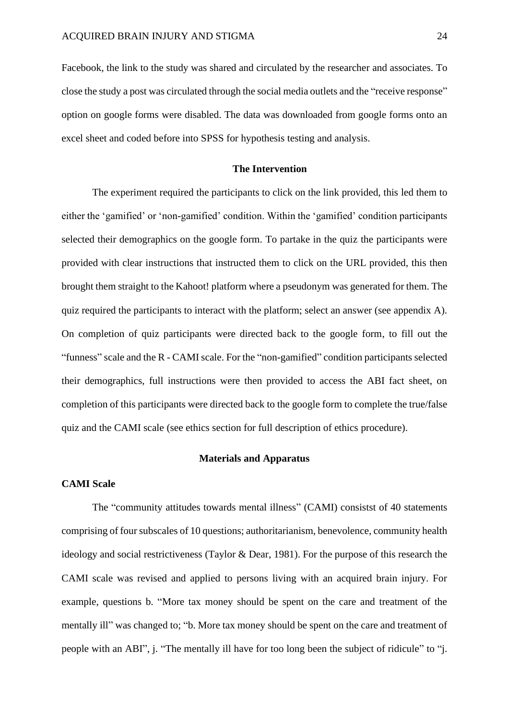Facebook, the link to the study was shared and circulated by the researcher and associates. To close the study a post was circulated through the social media outlets and the "receive response" option on google forms were disabled. The data was downloaded from google forms onto an excel sheet and coded before into SPSS for hypothesis testing and analysis.

## **The Intervention**

<span id="page-24-0"></span>The experiment required the participants to click on the link provided, this led them to either the 'gamified' or 'non-gamified' condition. Within the 'gamified' condition participants selected their demographics on the google form. To partake in the quiz the participants were provided with clear instructions that instructed them to click on the URL provided, this then brought them straight to the Kahoot! platform where a pseudonym was generated for them. The quiz required the participants to interact with the platform; select an answer (see appendix A). On completion of quiz participants were directed back to the google form, to fill out the "funness" scale and the R - CAMI scale. For the "non-gamified" condition participants selected their demographics, full instructions were then provided to access the ABI fact sheet, on completion of this participants were directed back to the google form to complete the true/false quiz and the CAMI scale (see ethics section for full description of ethics procedure).

#### **Materials and Apparatus**

## <span id="page-24-2"></span><span id="page-24-1"></span>**CAMI Scale**

The "community attitudes towards mental illness" (CAMI) consistst of 40 statements comprising of four subscales of 10 questions; authoritarianism, benevolence, community health ideology and social restrictiveness (Taylor & Dear, 1981). For the purpose of this research the CAMI scale was revised and applied to persons living with an acquired brain injury. For example, questions b. "More tax money should be spent on the care and treatment of the mentally ill" was changed to; "b. More tax money should be spent on the care and treatment of people with an ABI", j. "The mentally ill have for too long been the subject of ridicule" to "j.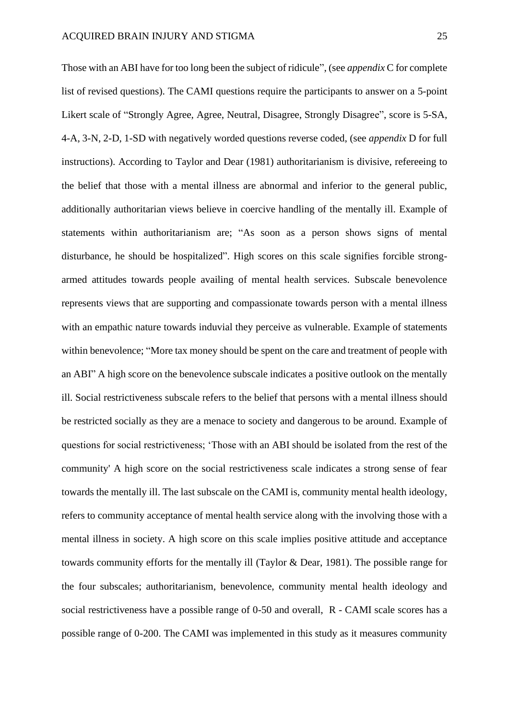Those with an ABI have for too long been the subject of ridicule", (see *appendix* C for complete list of revised questions). The CAMI questions require the participants to answer on a 5-point Likert scale of "Strongly Agree, Agree, Neutral, Disagree, Strongly Disagree", score is 5-SA, 4-A, 3-N, 2-D, 1-SD with negatively worded questions reverse coded, (see *appendix* D for full instructions). According to Taylor and Dear (1981) authoritarianism is divisive, refereeing to the belief that those with a mental illness are abnormal and inferior to the general public, additionally authoritarian views believe in coercive handling of the mentally ill. Example of statements within authoritarianism are; "As soon as a person shows signs of mental disturbance, he should be hospitalized". High scores on this scale signifies forcible strongarmed attitudes towards people availing of mental health services. Subscale benevolence represents views that are supporting and compassionate towards person with a mental illness with an empathic nature towards induvial they perceive as vulnerable. Example of statements within benevolence; "More tax money should be spent on the care and treatment of people with an ABI" A high score on the benevolence subscale indicates a positive outlook on the mentally ill. Social restrictiveness subscale refers to the belief that persons with a mental illness should be restricted socially as they are a menace to society and dangerous to be around. Example of questions for social restrictiveness; 'Those with an ABI should be isolated from the rest of the community' A high score on the social restrictiveness scale indicates a strong sense of fear towards the mentally ill. The last subscale on the CAMI is, community mental health ideology, refers to community acceptance of mental health service along with the involving those with a mental illness in society. A high score on this scale implies positive attitude and acceptance towards community efforts for the mentally ill (Taylor & Dear, 1981). The possible range for the four subscales; authoritarianism, benevolence, community mental health ideology and social restrictiveness have a possible range of 0-50 and overall, R - CAMI scale scores has a possible range of 0-200. The CAMI was implemented in this study as it measures community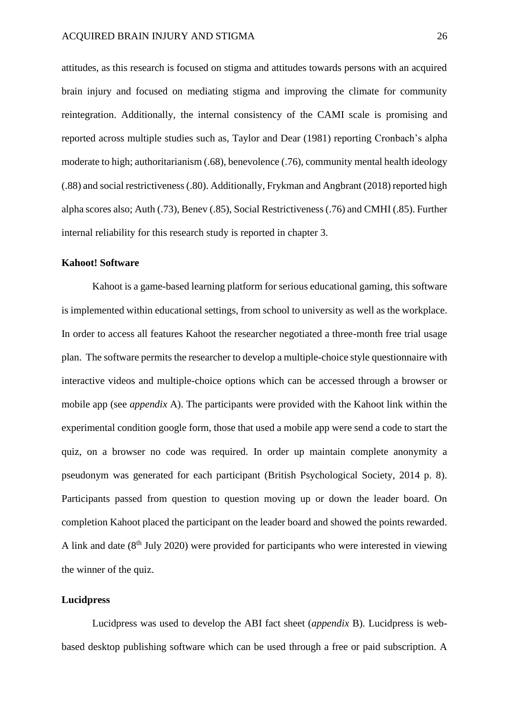attitudes, as this research is focused on stigma and attitudes towards persons with an acquired brain injury and focused on mediating stigma and improving the climate for community reintegration. Additionally, the internal consistency of the CAMI scale is promising and reported across multiple studies such as, Taylor and Dear (1981) reporting Cronbach's alpha moderate to high; authoritarianism (.68), benevolence (.76), community mental health ideology (.88) and social restrictiveness (.80). Additionally, Frykman and Angbrant (2018) reported high alpha scores also; Auth (.73), Benev (.85), Social Restrictiveness (.76) and CMHI (.85). Further internal reliability for this research study is reported in chapter 3.

#### <span id="page-26-0"></span>**Kahoot! Software**

Kahoot is a game-based learning platform for serious educational gaming, this software is implemented within educational settings, from school to university as well as the workplace. In order to access all features Kahoot the researcher negotiated a three-month free trial usage plan. The software permits the researcher to develop a multiple-choice style questionnaire with interactive videos and multiple-choice options which can be accessed through a browser or mobile app (see *appendix* A). The participants were provided with the Kahoot link within the experimental condition google form, those that used a mobile app were send a code to start the quiz, on a browser no code was required. In order up maintain complete anonymity a pseudonym was generated for each participant (British Psychological Society, 2014 p. 8). Participants passed from question to question moving up or down the leader board. On completion Kahoot placed the participant on the leader board and showed the points rewarded. A link and date  $(8<sup>th</sup>$  July 2020) were provided for participants who were interested in viewing the winner of the quiz.

#### <span id="page-26-1"></span>**Lucidpress**

Lucidpress was used to develop the ABI fact sheet (*appendix* B). Lucidpress is webbased desktop publishing software which can be used through a free or paid subscription. A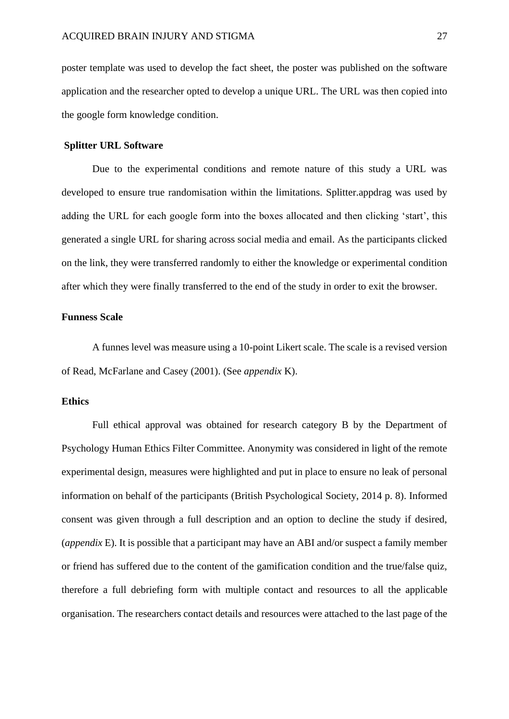poster template was used to develop the fact sheet, the poster was published on the software application and the researcher opted to develop a unique URL. The URL was then copied into the google form knowledge condition.

## <span id="page-27-0"></span>**Splitter URL Software**

Due to the experimental conditions and remote nature of this study a URL was developed to ensure true randomisation within the limitations. Splitter.appdrag was used by adding the URL for each google form into the boxes allocated and then clicking 'start', this generated a single URL for sharing across social media and email. As the participants clicked on the link, they were transferred randomly to either the knowledge or experimental condition after which they were finally transferred to the end of the study in order to exit the browser.

## **Funness Scale**

A funnes level was measure using a 10-point Likert scale. The scale is a revised version of Read, McFarlane and Casey (2001). (See *appendix* K).

## <span id="page-27-1"></span>**Ethics**

Full ethical approval was obtained for research category B by the Department of Psychology Human Ethics Filter Committee. Anonymity was considered in light of the remote experimental design, measures were highlighted and put in place to ensure no leak of personal information on behalf of the participants (British Psychological Society, 2014 p. 8). Informed consent was given through a full description and an option to decline the study if desired, (*appendix* E). It is possible that a participant may have an ABI and/or suspect a family member or friend has suffered due to the content of the gamification condition and the true/false quiz, therefore a full debriefing form with multiple contact and resources to all the applicable organisation. The researchers contact details and resources were attached to the last page of the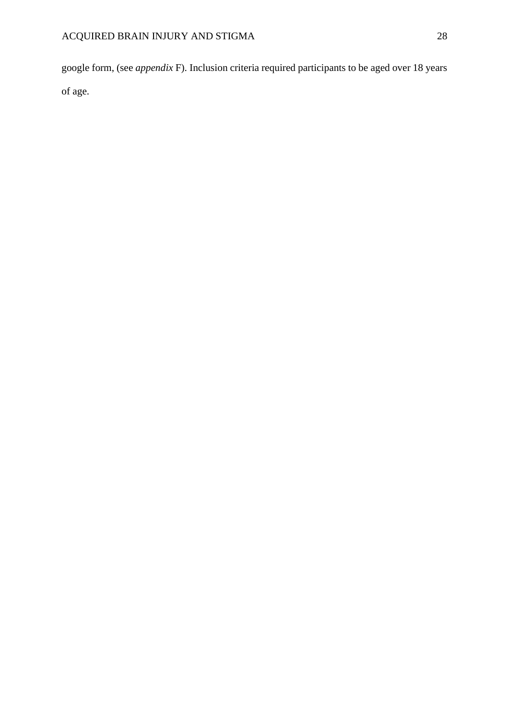google form, (see *appendix* F). Inclusion criteria required participants to be aged over 18 years of age.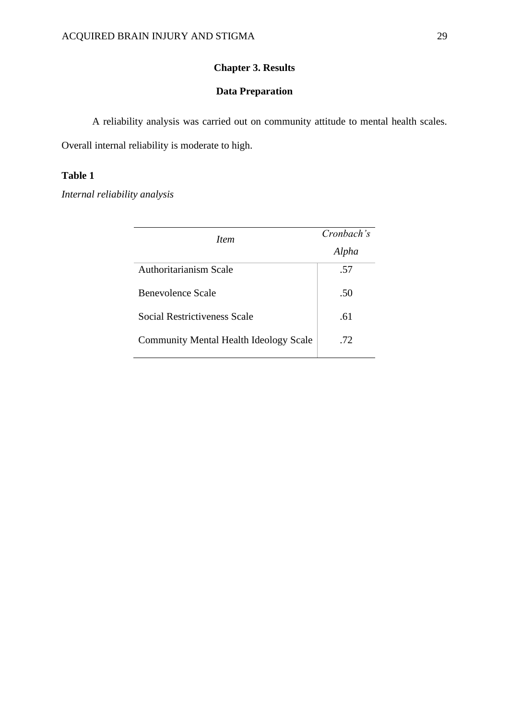# **Chapter 3. Results**

# **Data Preparation**

<span id="page-29-1"></span><span id="page-29-0"></span>A reliability analysis was carried out on community attitude to mental health scales.

Overall internal reliability is moderate to high.

# **Table 1**

*Internal reliability analysis*

| <i>Item</i>                                   | Cronbach's |
|-----------------------------------------------|------------|
|                                               | Alpha      |
| Authoritarianism Scale                        | .57        |
| Benevolence Scale                             | .50        |
| Social Restrictiveness Scale                  | .61        |
| <b>Community Mental Health Ideology Scale</b> | .72        |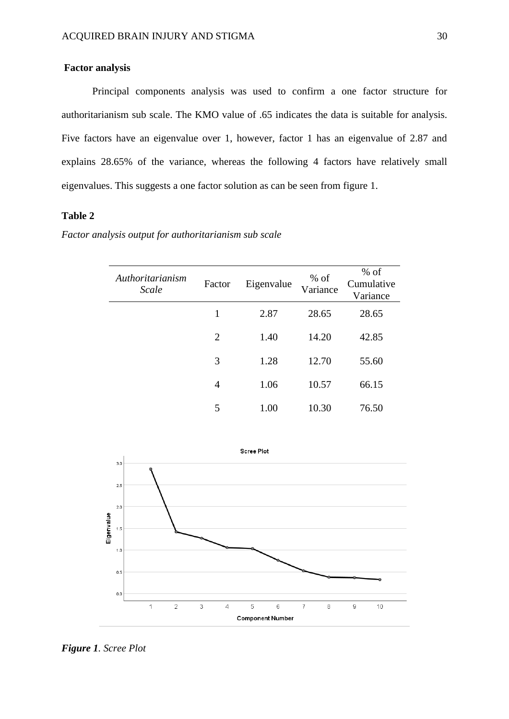## <span id="page-30-0"></span>**Factor analysis**

Principal components analysis was used to confirm a one factor structure for authoritarianism sub scale. The KMO value of .65 indicates the data is suitable for analysis. Five factors have an eigenvalue over 1, however, factor 1 has an eigenvalue of 2.87 and explains 28.65% of the variance, whereas the following 4 factors have relatively small eigenvalues. This suggests a one factor solution as can be seen from figure 1.

# **Table 2**

| Authoritarianism<br>Scale | Factor         | Eigenvalue | $%$ of<br>Variance | $%$ of<br>Cumulative<br>Variance |
|---------------------------|----------------|------------|--------------------|----------------------------------|
|                           | 1              | 2.87       | 28.65              | 28.65                            |
|                           | $\overline{2}$ | 1.40       | 14.20              | 42.85                            |
|                           | 3              | 1.28       | 12.70              | 55.60                            |
|                           | 4              | 1.06       | 10.57              | 66.15                            |
|                           | 5              | 1.00       | 10.30              | 76.50                            |

*Factor analysis output for authoritarianism sub scale*



*Figure 1. Scree Plot*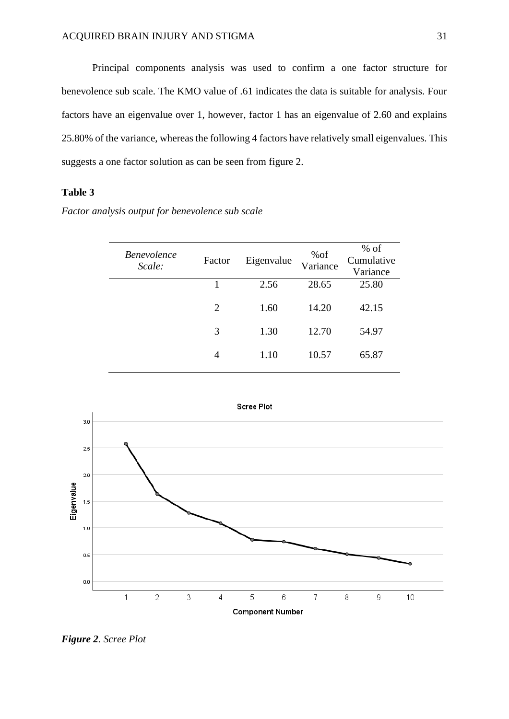Principal components analysis was used to confirm a one factor structure for benevolence sub scale. The KMO value of .61 indicates the data is suitable for analysis. Four factors have an eigenvalue over 1, however, factor 1 has an eigenvalue of 2.60 and explains 25.80% of the variance, whereas the following 4 factors have relatively small eigenvalues. This suggests a one factor solution as can be seen from figure 2.

## **Table 3**

*Factor analysis output for benevolence sub scale* 

| <i>Benevolence</i><br>Scale: | Factor         | Eigenvalue | %of<br>Variance | $%$ of<br>Cumulative<br>Variance |
|------------------------------|----------------|------------|-----------------|----------------------------------|
|                              |                | 2.56       | 28.65           | 25.80                            |
|                              | $\overline{2}$ | 1.60       | 14.20           | 42.15                            |
|                              | 3              | 1.30       | 12.70           | 54.97                            |
|                              | 4              | 1.10       | 10.57           | 65.87                            |



*Figure 2. Scree Plot*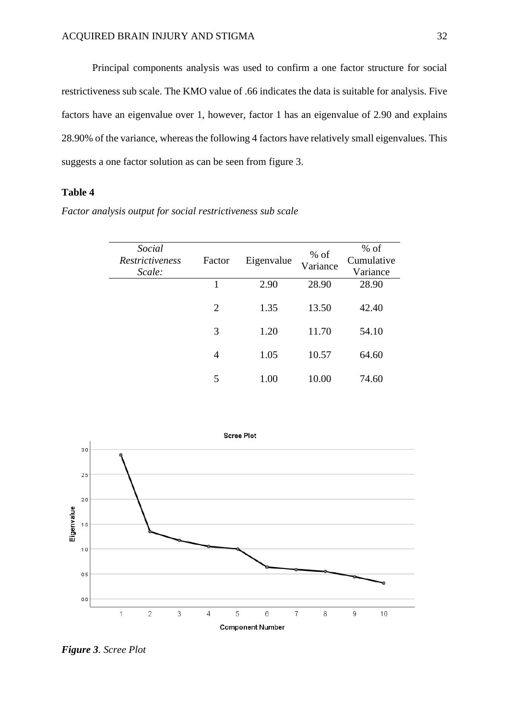Principal components analysis was used to confirm a one factor structure for social restrictiveness sub scale. The KMO value of .66 indicates the data is suitable for analysis. Five factors have an eigenvalue over 1, however, factor 1 has an eigenvalue of 2.90 and explains 28.90% of the variance, whereas the following 4 factors have relatively small eigenvalues. This suggests a one factor solution as can be seen from figure 3.

## **Table 4**

*Factor analysis output for social restrictiveness sub scale*

| Social<br><i>Restrictiveness</i><br>Scale: | Factor         | Eigenvalue | $%$ of<br>Variance | $%$ of<br>Cumulative<br>Variance |
|--------------------------------------------|----------------|------------|--------------------|----------------------------------|
|                                            | 1              | 2.90       | 28.90              | 28.90                            |
|                                            | $\overline{2}$ | 1.35       | 13.50              | 42.40                            |
|                                            | 3              | 1.20       | 11.70              | 54.10                            |
|                                            |                |            |                    |                                  |
|                                            | 4              | 1.05       | 10.57              | 64.60                            |
|                                            |                |            |                    |                                  |
|                                            | 5              | 1.00       | 10.00              | 74.60                            |
|                                            |                |            |                    |                                  |



*Figure 3. Scree Plot*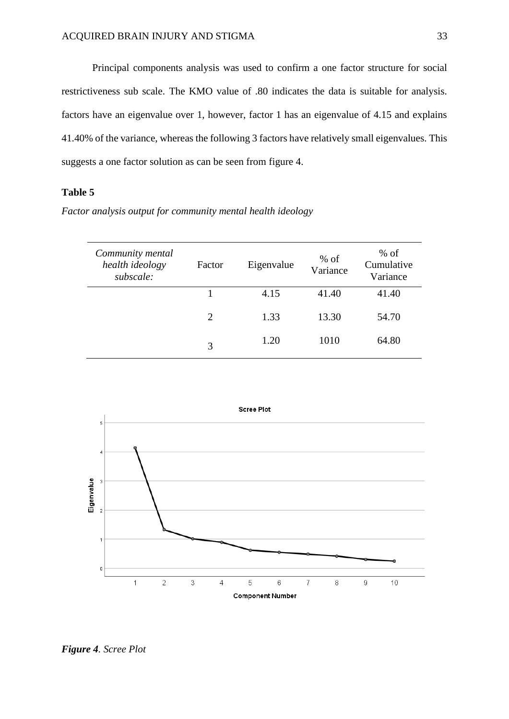Principal components analysis was used to confirm a one factor structure for social restrictiveness sub scale. The KMO value of .80 indicates the data is suitable for analysis. factors have an eigenvalue over 1, however, factor 1 has an eigenvalue of 4.15 and explains 41.40% of the variance, whereas the following 3 factors have relatively small eigenvalues. This suggests a one factor solution as can be seen from figure 4.

## **Table 5**

*Factor analysis output for community mental health ideology*

| Community mental<br>health ideology<br>subscale: | Factor | Eigenvalue | $%$ of<br>Variance | $%$ of<br>Cumulative<br>Variance |
|--------------------------------------------------|--------|------------|--------------------|----------------------------------|
|                                                  |        | 4.15       | 41.40              | 41.40                            |
|                                                  | 2      | 1.33       | 13.30              | 54.70                            |
|                                                  | 3      | 1.20       | 1010               | 64.80                            |



*Figure 4. Scree Plot*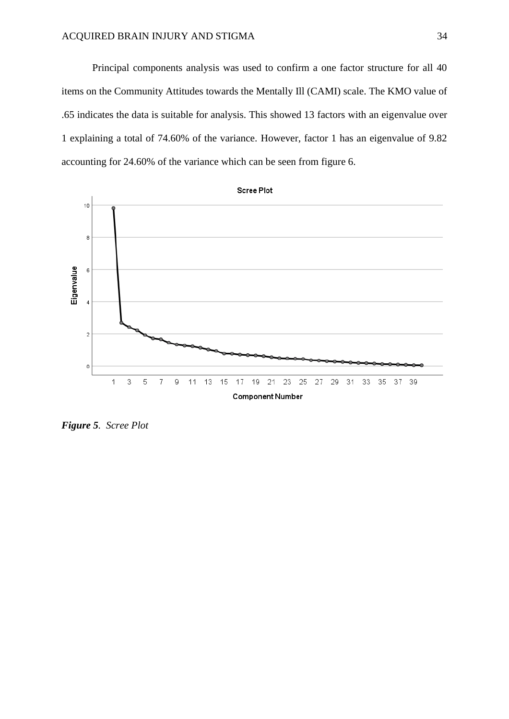Principal components analysis was used to confirm a one factor structure for all 40 items on the Community Attitudes towards the Mentally Ill (CAMI) scale. The KMO value of .65 indicates the data is suitable for analysis. This showed 13 factors with an eigenvalue over 1 explaining a total of 74.60% of the variance. However, factor 1 has an eigenvalue of 9.82 accounting for 24.60% of the variance which can be seen from figure 6.



*Figure 5. Scree Plot*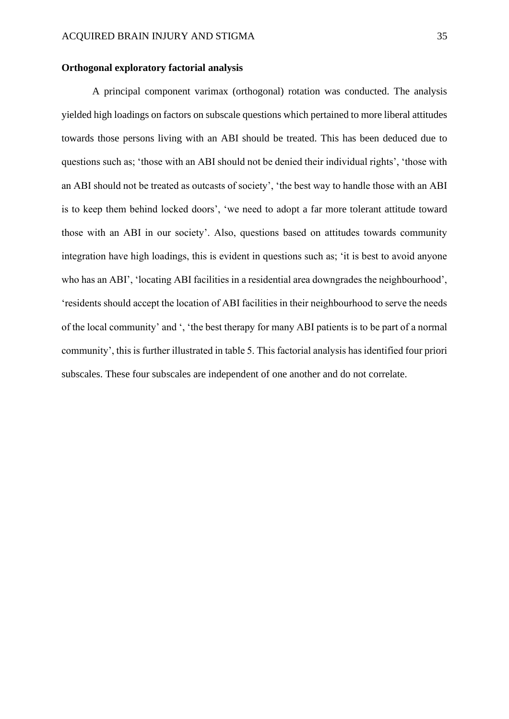#### <span id="page-35-0"></span>**Orthogonal exploratory factorial analysis**

A principal component varimax (orthogonal) rotation was conducted. The analysis yielded high loadings on factors on subscale questions which pertained to more liberal attitudes towards those persons living with an ABI should be treated. This has been deduced due to questions such as; 'those with an ABI should not be denied their individual rights', 'those with an ABI should not be treated as outcasts of society', 'the best way to handle those with an ABI is to keep them behind locked doors', 'we need to adopt a far more tolerant attitude toward those with an ABI in our society'. Also, questions based on attitudes towards community integration have high loadings, this is evident in questions such as; 'it is best to avoid anyone who has an ABI', 'locating ABI facilities in a residential area downgrades the neighbourhood', 'residents should accept the location of ABI facilities in their neighbourhood to serve the needs of the local community' and ', 'the best therapy for many ABI patients is to be part of a normal community', this is further illustrated in table 5. This factorial analysis has identified four priori subscales. These four subscales are independent of one another and do not correlate.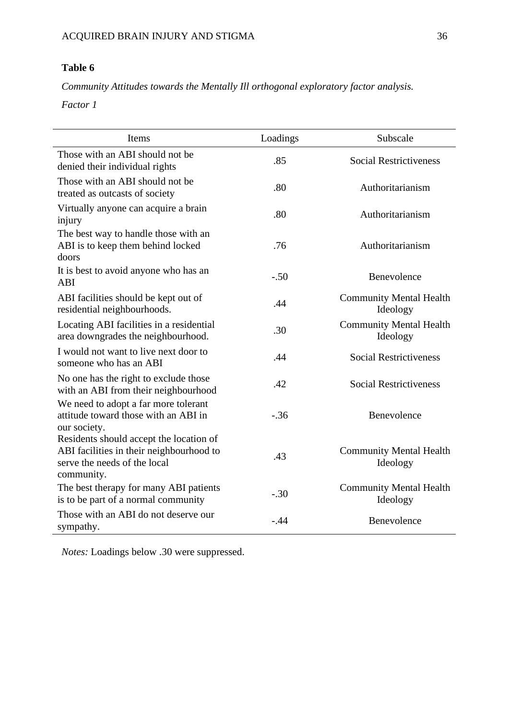# **Table 6**

*Community Attitudes towards the Mentally Ill orthogonal exploratory factor analysis.*

*Factor 1*

| Items                                                                                                                             | Loadings | Subscale                                   |  |
|-----------------------------------------------------------------------------------------------------------------------------------|----------|--------------------------------------------|--|
| Those with an ABI should not be<br>denied their individual rights                                                                 | .85      | <b>Social Restrictiveness</b>              |  |
| Those with an ABI should not be<br>treated as outcasts of society                                                                 | .80      | Authoritarianism                           |  |
| Virtually anyone can acquire a brain<br>injury                                                                                    | .80      | Authoritarianism                           |  |
| The best way to handle those with an<br>ABI is to keep them behind locked<br>doors                                                | .76      | Authoritarianism                           |  |
| It is best to avoid anyone who has an<br>ABI                                                                                      | $-.50$   | Benevolence                                |  |
| ABI facilities should be kept out of<br>residential neighbourhoods.                                                               | .44      | <b>Community Mental Health</b><br>Ideology |  |
| Locating ABI facilities in a residential<br>area downgrades the neighbourhood.                                                    | .30      | <b>Community Mental Health</b><br>Ideology |  |
| I would not want to live next door to<br>someone who has an ABI                                                                   | .44      | <b>Social Restrictiveness</b>              |  |
| No one has the right to exclude those<br>with an ABI from their neighbourhood                                                     | .42      | <b>Social Restrictiveness</b>              |  |
| We need to adopt a far more tolerant<br>attitude toward those with an ABI in<br>our society.                                      | $-.36$   | Benevolence                                |  |
| Residents should accept the location of<br>ABI facilities in their neighbourhood to<br>serve the needs of the local<br>community. | .43      | <b>Community Mental Health</b><br>Ideology |  |
| The best therapy for many ABI patients<br>is to be part of a normal community                                                     | $-.30$   | <b>Community Mental Health</b><br>Ideology |  |
| Those with an ABI do not deserve our<br>sympathy.                                                                                 | $-.44$   | Benevolence                                |  |

*Notes:* Loadings below .30 were suppressed.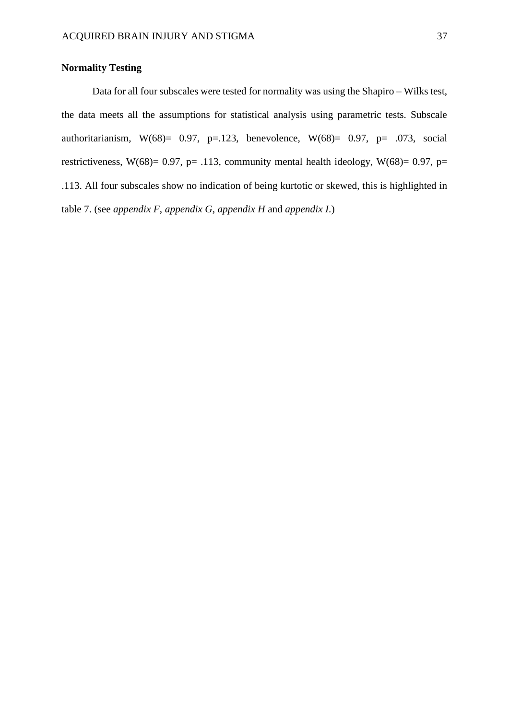# **Normality Testing**

Data for all four subscales were tested for normality was using the Shapiro – Wilks test, the data meets all the assumptions for statistical analysis using parametric tests. Subscale authoritarianism, W(68)= 0.97, p=.123, benevolence, W(68)= 0.97, p= .073, social restrictiveness, W(68)= 0.97, p= .113, community mental health ideology, W(68)= 0.97, p= .113. All four subscales show no indication of being kurtotic or skewed, this is highlighted in table 7. (see *appendix F*, *appendix G*, *appendix H* and *appendix I*.)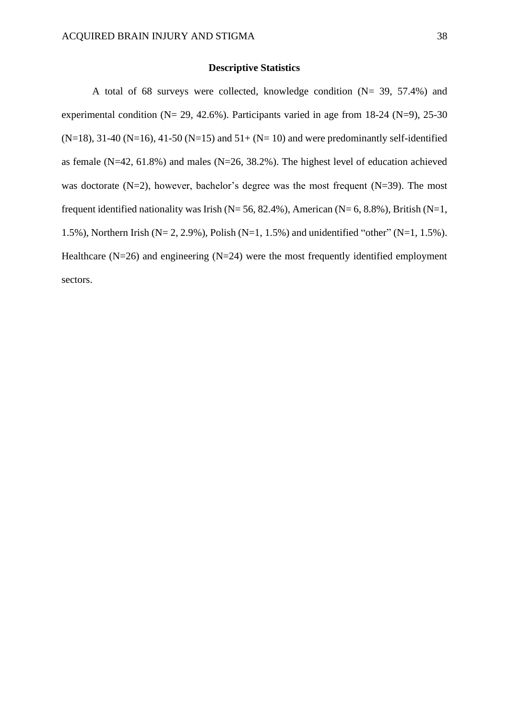### **Descriptive Statistics**

A total of 68 surveys were collected, knowledge condition (N= 39, 57.4%) and experimental condition ( $N = 29, 42.6\%$ ). Participants varied in age from 18-24 ( $N=9$ ), 25-30  $(N=18)$ , 31-40 (N=16), 41-50 (N=15) and 51+ (N= 10) and were predominantly self-identified as female (N=42, 61.8%) and males (N=26, 38.2%). The highest level of education achieved was doctorate (N=2), however, bachelor's degree was the most frequent (N=39). The most frequent identified nationality was Irish ( $N= 56, 82.4\%$ ), American ( $N= 6, 8.8\%$ ), British ( $N=1$ , 1.5%), Northern Irish (N= 2, 2.9%), Polish (N=1, 1.5%) and unidentified "other" (N=1, 1.5%). Healthcare  $(N=26)$  and engineering  $(N=24)$  were the most frequently identified employment sectors.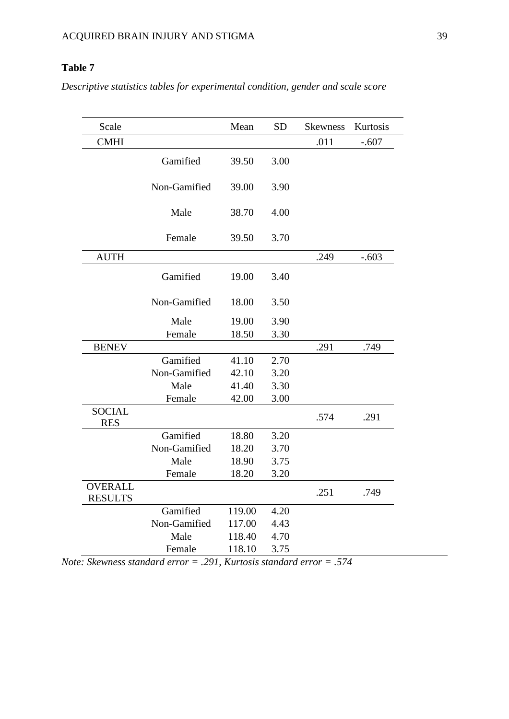# **Table 7**

*Descriptive statistics tables for experimental condition, gender and scale score*

| Scale          |              | Mean   | <b>SD</b> | <b>Skewness</b> | Kurtosis |
|----------------|--------------|--------|-----------|-----------------|----------|
| <b>CMHI</b>    |              |        |           | .011            | $-.607$  |
|                | Gamified     | 39.50  | 3.00      |                 |          |
|                |              |        |           |                 |          |
|                | Non-Gamified | 39.00  | 3.90      |                 |          |
|                |              |        |           |                 |          |
|                | Male         | 38.70  | 4.00      |                 |          |
|                | Female       | 39.50  | 3.70      |                 |          |
|                |              |        |           |                 |          |
| <b>AUTH</b>    |              |        |           | .249            | $-.603$  |
|                | Gamified     | 19.00  | 3.40      |                 |          |
|                |              |        |           |                 |          |
|                | Non-Gamified | 18.00  | 3.50      |                 |          |
|                | Male         | 19.00  | 3.90      |                 |          |
|                | Female       | 18.50  | 3.30      |                 |          |
| <b>BENEV</b>   |              |        |           | .291            | .749     |
|                | Gamified     | 41.10  | 2.70      |                 |          |
|                | Non-Gamified | 42.10  | 3.20      |                 |          |
|                | Male         | 41.40  | 3.30      |                 |          |
|                | Female       | 42.00  | 3.00      |                 |          |
| <b>SOCIAL</b>  |              |        |           | .574            | .291     |
| <b>RES</b>     |              |        |           |                 |          |
|                | Gamified     | 18.80  | 3.20      |                 |          |
|                | Non-Gamified | 18.20  | 3.70      |                 |          |
|                | Male         | 18.90  | 3.75      |                 |          |
|                | Female       | 18.20  | 3.20      |                 |          |
| <b>OVERALL</b> |              |        |           | .251            | .749     |
| <b>RESULTS</b> |              |        |           |                 |          |
|                | Gamified     | 119.00 | 4.20      |                 |          |
|                | Non-Gamified | 117.00 | 4.43      |                 |          |
|                | Male         | 118.40 | 4.70      |                 |          |
|                | Female       | 118.10 | 3.75      |                 |          |

*Note: Skewness standard error = .291, Kurtosis standard error = .574*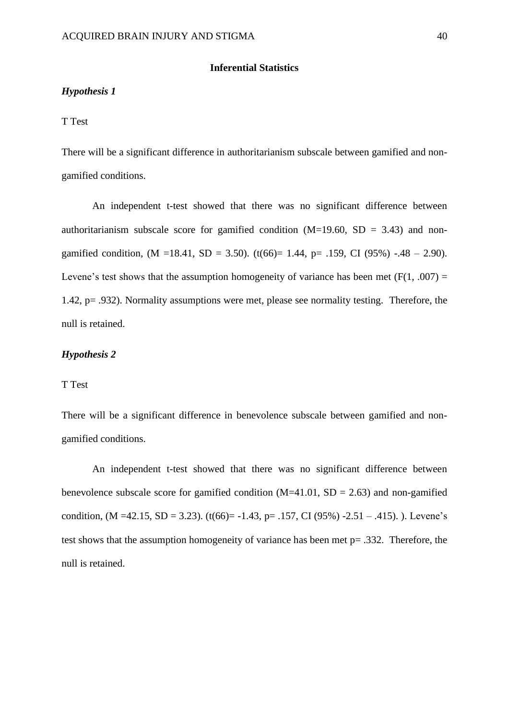### **Inferential Statistics**

#### *Hypothesis 1*

### T Test

There will be a significant difference in authoritarianism subscale between gamified and nongamified conditions.

An independent t-test showed that there was no significant difference between authoritarianism subscale score for gamified condition  $(M=19.60, SD = 3.43)$  and nongamified condition,  $(M = 18.41, SD = 3.50)$ .  $(t(66)= 1.44, p = .159, CI (95%) - .48 - 2.90)$ . Levene's test shows that the assumption homogeneity of variance has been met  $(F(1, .007) =$ 1.42, p= .932). Normality assumptions were met, please see normality testing. Therefore, the null is retained.

# *Hypothesis 2*

### T Test

There will be a significant difference in benevolence subscale between gamified and nongamified conditions.

An independent t-test showed that there was no significant difference between benevolence subscale score for gamified condition  $(M=41.01, SD = 2.63)$  and non-gamified condition,  $(M = 42.15, SD = 3.23)$ .  $(t(66)= -1.43, p = .157, CI (95%) -2.51 - .415)$ . Levene's test shows that the assumption homogeneity of variance has been met p= .332. Therefore, the null is retained.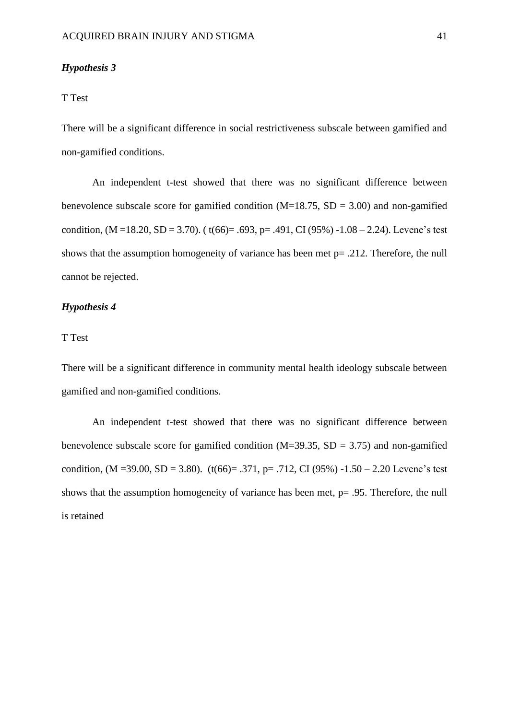### *Hypothesis 3*

### T Test

There will be a significant difference in social restrictiveness subscale between gamified and non-gamified conditions.

An independent t-test showed that there was no significant difference between benevolence subscale score for gamified condition  $(M=18.75, SD = 3.00)$  and non-gamified condition,  $(M = 18.20, SD = 3.70)$ . ( $t(66) = .693$ ,  $p = .491$ , CI (95%) -1.08 – 2.24). Levene's test shows that the assumption homogeneity of variance has been met p= .212. Therefore, the null cannot be rejected.

## *Hypothesis 4*

# T Test

There will be a significant difference in community mental health ideology subscale between gamified and non-gamified conditions.

An independent t-test showed that there was no significant difference between benevolence subscale score for gamified condition  $(M=39.35, SD = 3.75)$  and non-gamified condition,  $(M = 39.00, SD = 3.80)$ .  $(t(66) = .371, p = .712, CI (95%) -1.50 - 2.20$  Levene's test shows that the assumption homogeneity of variance has been met, p= .95. Therefore, the null is retained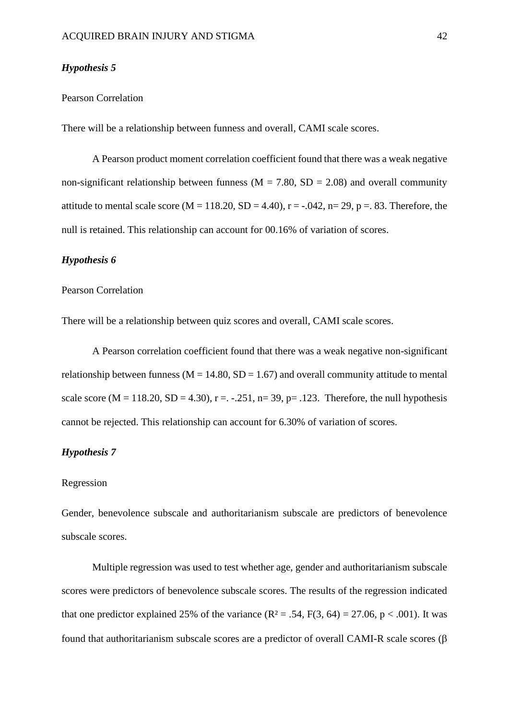### *Hypothesis 5*

# Pearson Correlation

There will be a relationship between funness and overall, CAMI scale scores.

A Pearson product moment correlation coefficient found that there was a weak negative non-significant relationship between funness ( $M = 7.80$ ,  $SD = 2.08$ ) and overall community attitude to mental scale score (M = 118.20, SD = 4.40),  $r = -.042$ ,  $n = 29$ ,  $p = .83$ . Therefore, the null is retained. This relationship can account for 00.16% of variation of scores.

# *Hypothesis 6*

# Pearson Correlation

There will be a relationship between quiz scores and overall, CAMI scale scores.

A Pearson correlation coefficient found that there was a weak negative non-significant relationship between funness ( $M = 14.80$ ,  $SD = 1.67$ ) and overall community attitude to mental scale score (M = 118.20, SD = 4.30), r =  $-.251$ , n= 39, p= .123. Therefore, the null hypothesis cannot be rejected. This relationship can account for 6.30% of variation of scores.

# *Hypothesis 7*

### Regression

Gender, benevolence subscale and authoritarianism subscale are predictors of benevolence subscale scores.

Multiple regression was used to test whether age, gender and authoritarianism subscale scores were predictors of benevolence subscale scores. The results of the regression indicated that one predictor explained 25% of the variance  $(R^2 = .54, F(3, 64) = 27.06, p < .001)$ . It was found that authoritarianism subscale scores are a predictor of overall CAMI-R scale scores  $(\beta$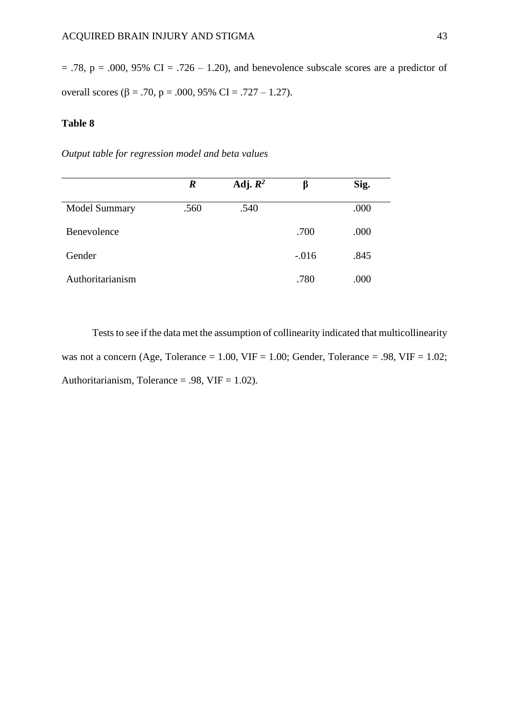$= .78$ ,  $p = .000$ , 95% CI = .726 – 1.20), and benevolence subscale scores are a predictor of overall scores ( $\beta$  = .70, p = .000, 95% CI = .727 – 1.27).

# **Table 8**

*Output table for regression model and beta values*

|                      | $\boldsymbol{R}$ | Adj. $R^2$ |         | Sig. |
|----------------------|------------------|------------|---------|------|
| <b>Model Summary</b> | .560             | .540       |         | .000 |
| Benevolence          |                  |            | .700    | .000 |
| Gender               |                  |            | $-.016$ | .845 |
| Authoritarianism     |                  |            | .780    | .000 |

Tests to see if the data met the assumption of collinearity indicated that multicollinearity was not a concern (Age, Tolerance = 1.00, VIF = 1.00; Gender, Tolerance = .98, VIF =  $1.02$ ; Authoritarianism, Tolerance = .98,  $VIF = 1.02$ ).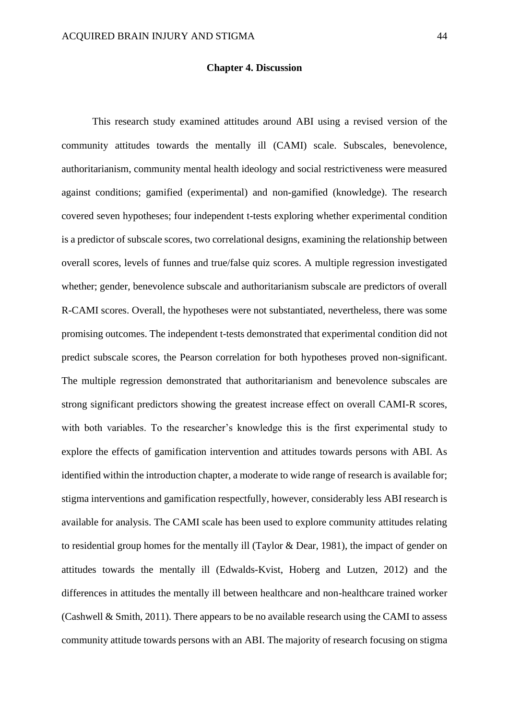#### **Chapter 4. Discussion**

This research study examined attitudes around ABI using a revised version of the community attitudes towards the mentally ill (CAMI) scale. Subscales, benevolence, authoritarianism, community mental health ideology and social restrictiveness were measured against conditions; gamified (experimental) and non-gamified (knowledge). The research covered seven hypotheses; four independent t-tests exploring whether experimental condition is a predictor of subscale scores, two correlational designs, examining the relationship between overall scores, levels of funnes and true/false quiz scores. A multiple regression investigated whether; gender, benevolence subscale and authoritarianism subscale are predictors of overall R-CAMI scores. Overall, the hypotheses were not substantiated, nevertheless, there was some promising outcomes. The independent t-tests demonstrated that experimental condition did not predict subscale scores, the Pearson correlation for both hypotheses proved non-significant. The multiple regression demonstrated that authoritarianism and benevolence subscales are strong significant predictors showing the greatest increase effect on overall CAMI-R scores, with both variables. To the researcher's knowledge this is the first experimental study to explore the effects of gamification intervention and attitudes towards persons with ABI. As identified within the introduction chapter, a moderate to wide range of research is available for; stigma interventions and gamification respectfully, however, considerably less ABI research is available for analysis. The CAMI scale has been used to explore community attitudes relating to residential group homes for the mentally ill (Taylor & Dear, 1981), the impact of gender on attitudes towards the mentally ill (Edwalds-Kvist, Hoberg and Lutzen, 2012) and the differences in attitudes the mentally ill between healthcare and non-healthcare trained worker (Cashwell & Smith, 2011). There appears to be no available research using the CAMI to assess community attitude towards persons with an ABI. The majority of research focusing on stigma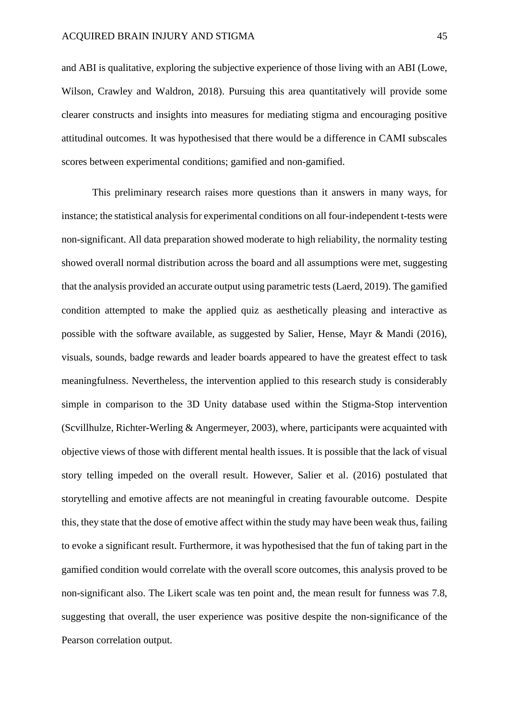and ABI is qualitative, exploring the subjective experience of those living with an ABI (Lowe, Wilson, Crawley and Waldron, 2018). Pursuing this area quantitatively will provide some clearer constructs and insights into measures for mediating stigma and encouraging positive attitudinal outcomes. It was hypothesised that there would be a difference in CAMI subscales scores between experimental conditions; gamified and non-gamified.

This preliminary research raises more questions than it answers in many ways, for instance; the statistical analysis for experimental conditions on all four-independent t-tests were non-significant. All data preparation showed moderate to high reliability, the normality testing showed overall normal distribution across the board and all assumptions were met, suggesting that the analysis provided an accurate output using parametric tests (Laerd, 2019). The gamified condition attempted to make the applied quiz as aesthetically pleasing and interactive as possible with the software available, as suggested by Salier, Hense, Mayr & Mandi (2016), visuals, sounds, badge rewards and leader boards appeared to have the greatest effect to task meaningfulness. Nevertheless, the intervention applied to this research study is considerably simple in comparison to the 3D Unity database used within the Stigma-Stop intervention (Scvillhulze, Richter-Werling & Angermeyer, 2003), where, participants were acquainted with objective views of those with different mental health issues. It is possible that the lack of visual story telling impeded on the overall result. However, Salier et al. (2016) postulated that storytelling and emotive affects are not meaningful in creating favourable outcome. Despite this, they state that the dose of emotive affect within the study may have been weak thus, failing to evoke a significant result. Furthermore, it was hypothesised that the fun of taking part in the gamified condition would correlate with the overall score outcomes, this analysis proved to be non-significant also. The Likert scale was ten point and, the mean result for funness was 7.8, suggesting that overall, the user experience was positive despite the non-significance of the Pearson correlation output.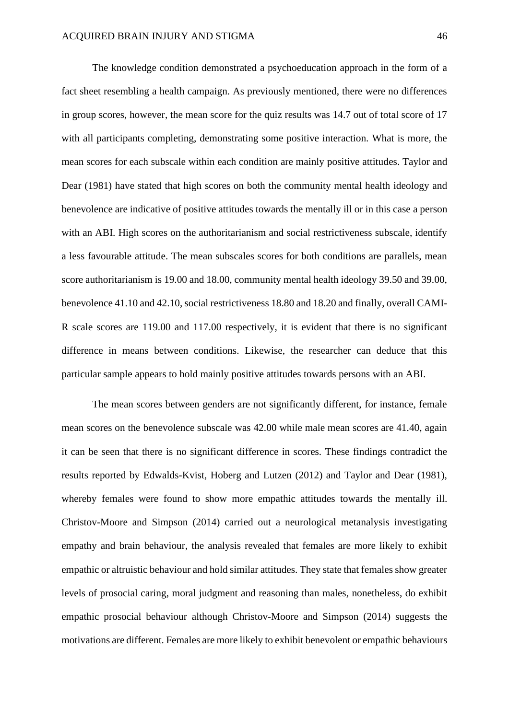The knowledge condition demonstrated a psychoeducation approach in the form of a fact sheet resembling a health campaign. As previously mentioned, there were no differences in group scores, however, the mean score for the quiz results was 14.7 out of total score of 17 with all participants completing, demonstrating some positive interaction. What is more, the mean scores for each subscale within each condition are mainly positive attitudes. Taylor and Dear (1981) have stated that high scores on both the community mental health ideology and benevolence are indicative of positive attitudes towards the mentally ill or in this case a person with an ABI. High scores on the authoritarianism and social restrictiveness subscale, identify a less favourable attitude. The mean subscales scores for both conditions are parallels, mean score authoritarianism is 19.00 and 18.00, community mental health ideology 39.50 and 39.00, benevolence 41.10 and 42.10, social restrictiveness 18.80 and 18.20 and finally, overall CAMI-R scale scores are 119.00 and 117.00 respectively, it is evident that there is no significant difference in means between conditions. Likewise, the researcher can deduce that this particular sample appears to hold mainly positive attitudes towards persons with an ABI.

The mean scores between genders are not significantly different, for instance, female mean scores on the benevolence subscale was 42.00 while male mean scores are 41.40, again it can be seen that there is no significant difference in scores. These findings contradict the results reported by Edwalds-Kvist, Hoberg and Lutzen (2012) and Taylor and Dear (1981), whereby females were found to show more empathic attitudes towards the mentally ill. Christov-Moore and Simpson (2014) carried out a neurological metanalysis investigating empathy and brain behaviour, the analysis revealed that females are more likely to exhibit empathic or altruistic behaviour and hold similar attitudes. They state that females show greater levels of prosocial caring, moral judgment and reasoning than males, nonetheless, do exhibit empathic prosocial behaviour although Christov-Moore and Simpson (2014) suggests the motivations are different. Females are more likely to exhibit benevolent or empathic behaviours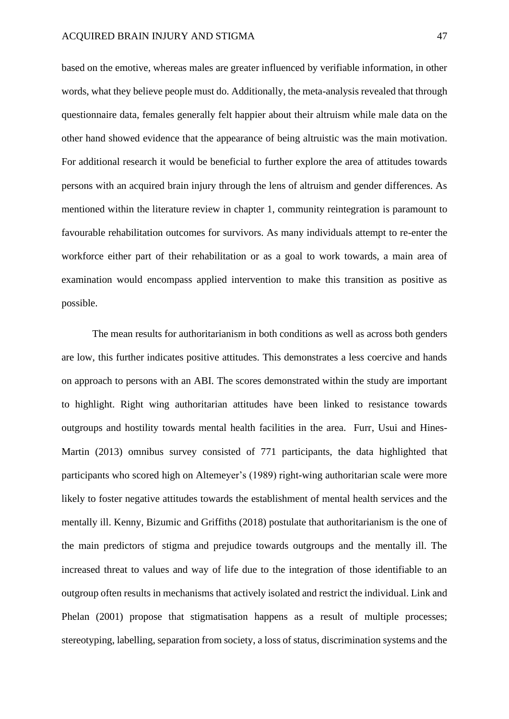based on the emotive, whereas males are greater influenced by verifiable information, in other words, what they believe people must do. Additionally, the meta-analysis revealed that through questionnaire data, females generally felt happier about their altruism while male data on the other hand showed evidence that the appearance of being altruistic was the main motivation. For additional research it would be beneficial to further explore the area of attitudes towards persons with an acquired brain injury through the lens of altruism and gender differences. As mentioned within the literature review in chapter 1, community reintegration is paramount to favourable rehabilitation outcomes for survivors. As many individuals attempt to re-enter the workforce either part of their rehabilitation or as a goal to work towards, a main area of examination would encompass applied intervention to make this transition as positive as possible.

The mean results for authoritarianism in both conditions as well as across both genders are low, this further indicates positive attitudes. This demonstrates a less coercive and hands on approach to persons with an ABI. The scores demonstrated within the study are important to highlight. Right wing authoritarian attitudes have been linked to resistance towards outgroups and hostility towards mental health facilities in the area. Furr, Usui and Hines-Martin (2013) omnibus survey consisted of 771 participants, the data highlighted that participants who scored high on Altemeyer's (1989) right-wing authoritarian scale were more likely to foster negative attitudes towards the establishment of mental health services and the mentally ill. Kenny, Bizumic and Griffiths (2018) postulate that authoritarianism is the one of the main predictors of stigma and prejudice towards outgroups and the mentally ill. The increased threat to values and way of life due to the integration of those identifiable to an outgroup often results in mechanisms that actively isolated and restrict the individual. Link and Phelan (2001) propose that stigmatisation happens as a result of multiple processes; stereotyping, labelling, separation from society, a loss of status, discrimination systems and the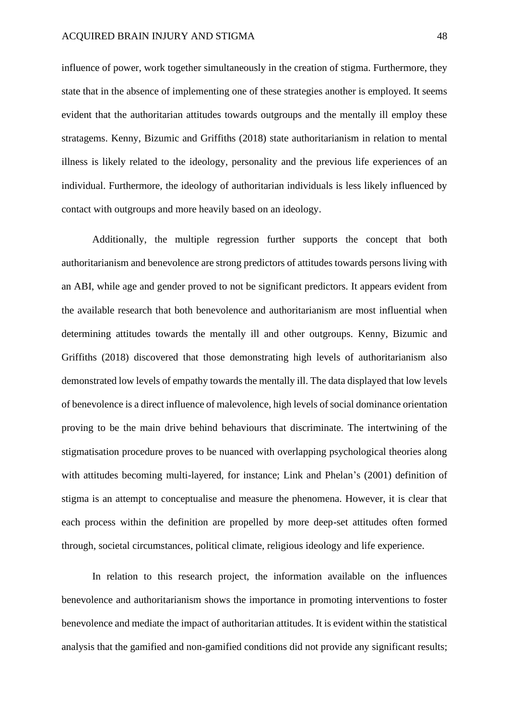influence of power, work together simultaneously in the creation of stigma. Furthermore, they state that in the absence of implementing one of these strategies another is employed. It seems evident that the authoritarian attitudes towards outgroups and the mentally ill employ these stratagems. Kenny, Bizumic and Griffiths (2018) state authoritarianism in relation to mental illness is likely related to the ideology, personality and the previous life experiences of an individual. Furthermore, the ideology of authoritarian individuals is less likely influenced by contact with outgroups and more heavily based on an ideology.

Additionally, the multiple regression further supports the concept that both authoritarianism and benevolence are strong predictors of attitudes towards persons living with an ABI, while age and gender proved to not be significant predictors. It appears evident from the available research that both benevolence and authoritarianism are most influential when determining attitudes towards the mentally ill and other outgroups. Kenny, Bizumic and Griffiths (2018) discovered that those demonstrating high levels of authoritarianism also demonstrated low levels of empathy towards the mentally ill. The data displayed that low levels of benevolence is a direct influence of malevolence, high levels of social dominance orientation proving to be the main drive behind behaviours that discriminate. The intertwining of the stigmatisation procedure proves to be nuanced with overlapping psychological theories along with attitudes becoming multi-layered, for instance; Link and Phelan's (2001) definition of stigma is an attempt to conceptualise and measure the phenomena. However, it is clear that each process within the definition are propelled by more deep-set attitudes often formed through, societal circumstances, political climate, religious ideology and life experience.

In relation to this research project, the information available on the influences benevolence and authoritarianism shows the importance in promoting interventions to foster benevolence and mediate the impact of authoritarian attitudes. It is evident within the statistical analysis that the gamified and non-gamified conditions did not provide any significant results;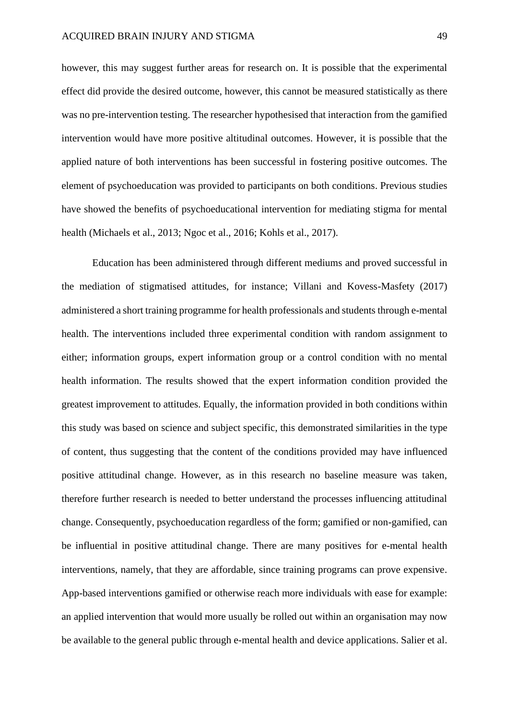however, this may suggest further areas for research on. It is possible that the experimental effect did provide the desired outcome, however, this cannot be measured statistically as there was no pre-intervention testing. The researcher hypothesised that interaction from the gamified intervention would have more positive altitudinal outcomes. However, it is possible that the applied nature of both interventions has been successful in fostering positive outcomes. The element of psychoeducation was provided to participants on both conditions. Previous studies have showed the benefits of psychoeducational intervention for mediating stigma for mental health (Michaels et al., 2013; Ngoc et al., 2016; Kohls et al., 2017).

Education has been administered through different mediums and proved successful in the mediation of stigmatised attitudes, for instance; Villani and Kovess-Masfety (2017) administered a short training programme for health professionals and students through e-mental health. The interventions included three experimental condition with random assignment to either; information groups, expert information group or a control condition with no mental health information. The results showed that the expert information condition provided the greatest improvement to attitudes. Equally, the information provided in both conditions within this study was based on science and subject specific, this demonstrated similarities in the type of content, thus suggesting that the content of the conditions provided may have influenced positive attitudinal change. However, as in this research no baseline measure was taken, therefore further research is needed to better understand the processes influencing attitudinal change. Consequently, psychoeducation regardless of the form; gamified or non-gamified, can be influential in positive attitudinal change. There are many positives for e-mental health interventions, namely, that they are affordable, since training programs can prove expensive. App-based interventions gamified or otherwise reach more individuals with ease for example: an applied intervention that would more usually be rolled out within an organisation may now be available to the general public through e-mental health and device applications. Salier et al.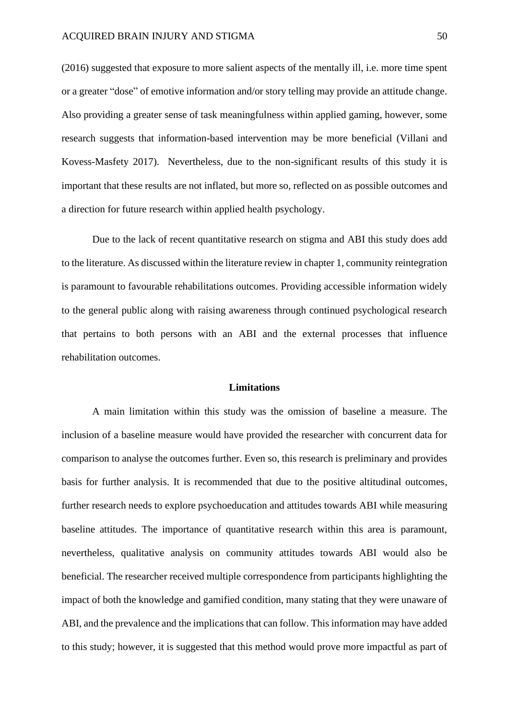(2016) suggested that exposure to more salient aspects of the mentally ill, i.e. more time spent or a greater "dose" of emotive information and/or story telling may provide an attitude change. Also providing a greater sense of task meaningfulness within applied gaming, however, some research suggests that information-based intervention may be more beneficial (Villani and Kovess-Masfety 2017). Nevertheless, due to the non-significant results of this study it is important that these results are not inflated, but more so, reflected on as possible outcomes and a direction for future research within applied health psychology.

Due to the lack of recent quantitative research on stigma and ABI this study does add to the literature. As discussed within the literature review in chapter 1, community reintegration is paramount to favourable rehabilitations outcomes. Providing accessible information widely to the general public along with raising awareness through continued psychological research that pertains to both persons with an ABI and the external processes that influence rehabilitation outcomes.

### **Limitations**

A main limitation within this study was the omission of baseline a measure. The inclusion of a baseline measure would have provided the researcher with concurrent data for comparison to analyse the outcomes further. Even so, this research is preliminary and provides basis for further analysis. It is recommended that due to the positive altitudinal outcomes, further research needs to explore psychoeducation and attitudes towards ABI while measuring baseline attitudes. The importance of quantitative research within this area is paramount, nevertheless, qualitative analysis on community attitudes towards ABI would also be beneficial. The researcher received multiple correspondence from participants highlighting the impact of both the knowledge and gamified condition, many stating that they were unaware of ABI, and the prevalence and the implications that can follow. This information may have added to this study; however, it is suggested that this method would prove more impactful as part of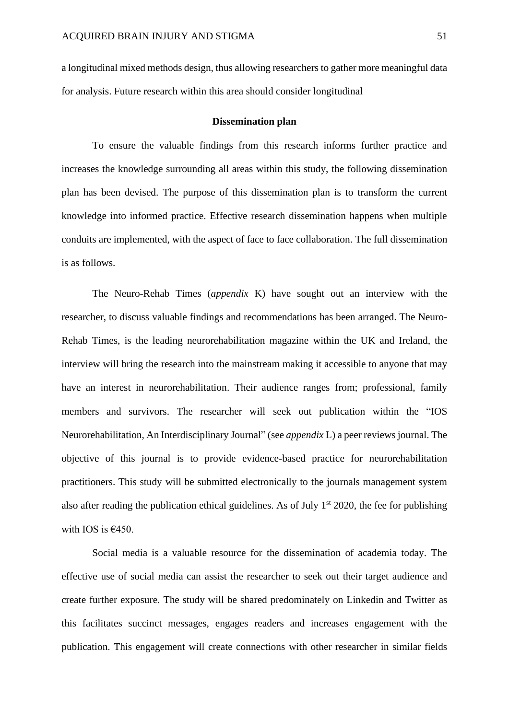a longitudinal mixed methods design, thus allowing researchers to gather more meaningful data for analysis. Future research within this area should consider longitudinal

#### **Dissemination plan**

To ensure the valuable findings from this research informs further practice and increases the knowledge surrounding all areas within this study, the following dissemination plan has been devised. The purpose of this dissemination plan is to transform the current knowledge into informed practice. Effective research dissemination happens when multiple conduits are implemented, with the aspect of face to face collaboration. The full dissemination is as follows.

The Neuro-Rehab Times (*appendix* K) have sought out an interview with the researcher, to discuss valuable findings and recommendations has been arranged. The Neuro-Rehab Times, is the leading neurorehabilitation magazine within the UK and Ireland, the interview will bring the research into the mainstream making it accessible to anyone that may have an interest in neurorehabilitation. Their audience ranges from; professional, family members and survivors. The researcher will seek out publication within the "IOS Neurorehabilitation, An Interdisciplinary Journal" (see *appendix* L) a peer reviews journal. The objective of this journal is to provide evidence-based practice for neurorehabilitation practitioners. This study will be submitted electronically to the journals management system also after reading the publication ethical guidelines. As of July  $1<sup>st</sup>$  2020, the fee for publishing with IOS is  $€450$ .

Social media is a valuable resource for the dissemination of academia today. The effective use of social media can assist the researcher to seek out their target audience and create further exposure. The study will be shared predominately on Linkedin and Twitter as this facilitates succinct messages, engages readers and increases engagement with the publication. This engagement will create connections with other researcher in similar fields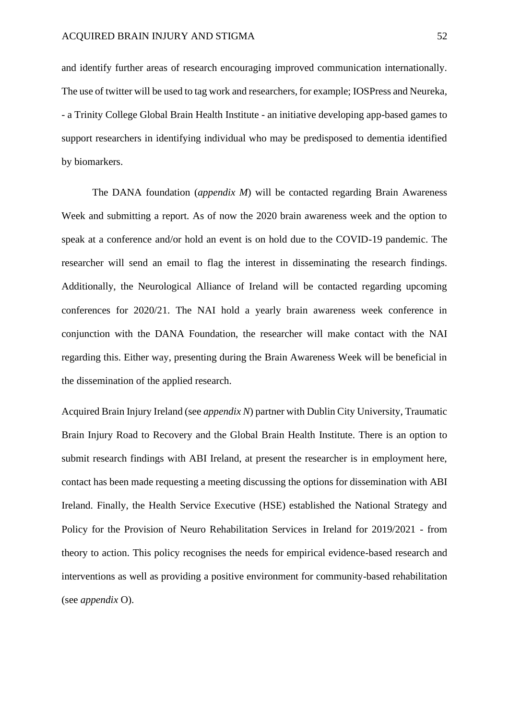and identify further areas of research encouraging improved communication internationally. The use of twitter will be used to tag work and researchers, for example; IOSPress and Neureka, - a Trinity College Global Brain Health Institute - an initiative developing app-based games to support researchers in identifying individual who may be predisposed to dementia identified by biomarkers.

The DANA foundation (*appendix M*) will be contacted regarding Brain Awareness Week and submitting a report. As of now the 2020 brain awareness week and the option to speak at a conference and/or hold an event is on hold due to the COVID-19 pandemic. The researcher will send an email to flag the interest in disseminating the research findings. Additionally, the Neurological Alliance of Ireland will be contacted regarding upcoming conferences for 2020/21. The NAI hold a yearly brain awareness week conference in conjunction with the DANA Foundation, the researcher will make contact with the NAI regarding this. Either way, presenting during the Brain Awareness Week will be beneficial in the dissemination of the applied research.

Acquired Brain Injury Ireland (see *appendix N*) partner with Dublin City University, Traumatic Brain Injury Road to Recovery and the Global Brain Health Institute. There is an option to submit research findings with ABI Ireland, at present the researcher is in employment here, contact has been made requesting a meeting discussing the options for dissemination with ABI Ireland. Finally, the Health Service Executive (HSE) established the National Strategy and Policy for the Provision of Neuro Rehabilitation Services in Ireland for 2019/2021 - from theory to action. This policy recognises the needs for empirical evidence-based research and interventions as well as providing a positive environment for community-based rehabilitation (see *appendix* O).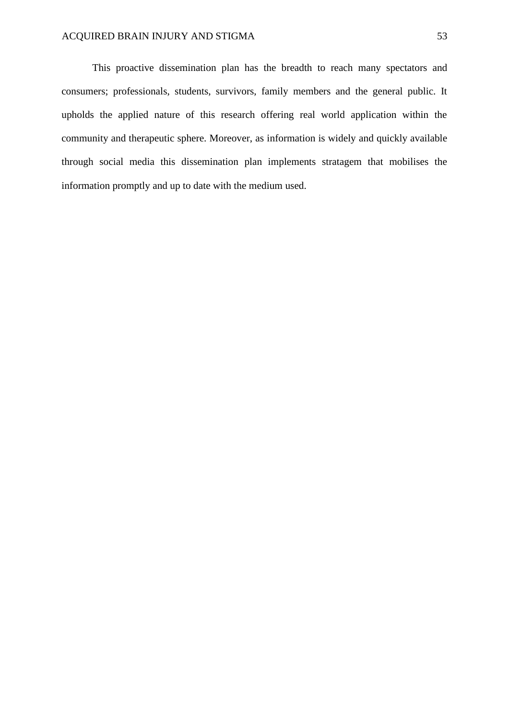This proactive dissemination plan has the breadth to reach many spectators and consumers; professionals, students, survivors, family members and the general public. It upholds the applied nature of this research offering real world application within the community and therapeutic sphere. Moreover, as information is widely and quickly available through social media this dissemination plan implements stratagem that mobilises the information promptly and up to date with the medium used.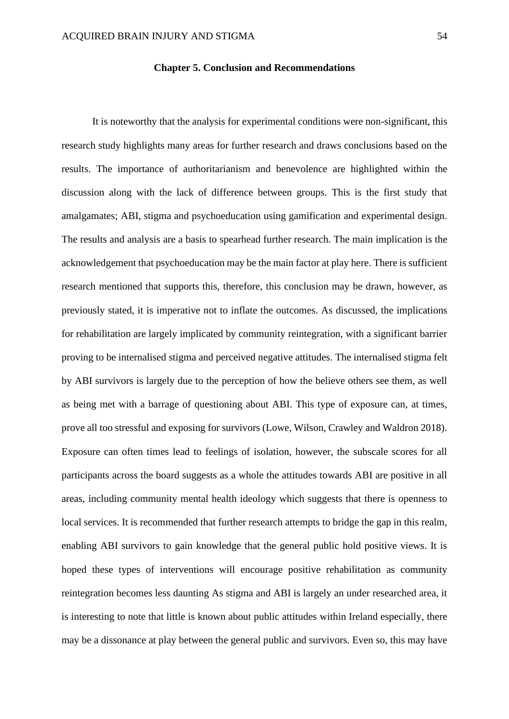#### **Chapter 5. Conclusion and Recommendations**

It is noteworthy that the analysis for experimental conditions were non-significant, this research study highlights many areas for further research and draws conclusions based on the results. The importance of authoritarianism and benevolence are highlighted within the discussion along with the lack of difference between groups. This is the first study that amalgamates; ABI, stigma and psychoeducation using gamification and experimental design. The results and analysis are a basis to spearhead further research. The main implication is the acknowledgement that psychoeducation may be the main factor at play here. There is sufficient research mentioned that supports this, therefore, this conclusion may be drawn, however, as previously stated, it is imperative not to inflate the outcomes. As discussed, the implications for rehabilitation are largely implicated by community reintegration, with a significant barrier proving to be internalised stigma and perceived negative attitudes. The internalised stigma felt by ABI survivors is largely due to the perception of how the believe others see them, as well as being met with a barrage of questioning about ABI. This type of exposure can, at times, prove all too stressful and exposing for survivors (Lowe, Wilson, Crawley and Waldron 2018). Exposure can often times lead to feelings of isolation, however, the subscale scores for all participants across the board suggests as a whole the attitudes towards ABI are positive in all areas, including community mental health ideology which suggests that there is openness to local services. It is recommended that further research attempts to bridge the gap in this realm, enabling ABI survivors to gain knowledge that the general public hold positive views. It is hoped these types of interventions will encourage positive rehabilitation as community reintegration becomes less daunting As stigma and ABI is largely an under researched area, it is interesting to note that little is known about public attitudes within Ireland especially, there may be a dissonance at play between the general public and survivors. Even so, this may have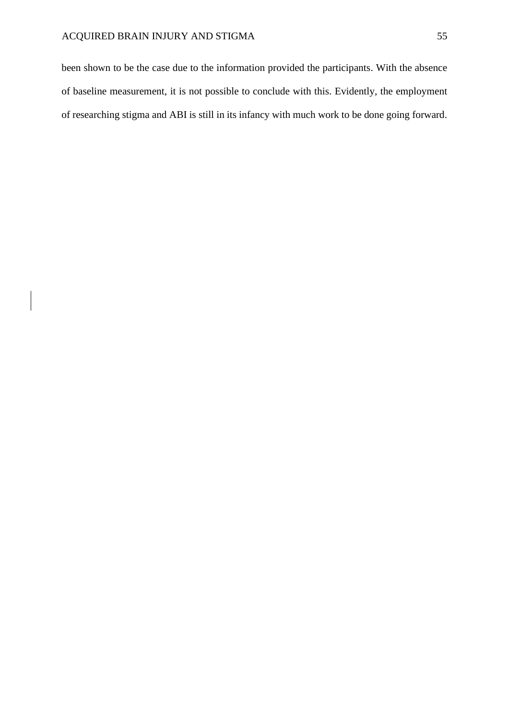been shown to be the case due to the information provided the participants. With the absence of baseline measurement, it is not possible to conclude with this. Evidently, the employment of researching stigma and ABI is still in its infancy with much work to be done going forward.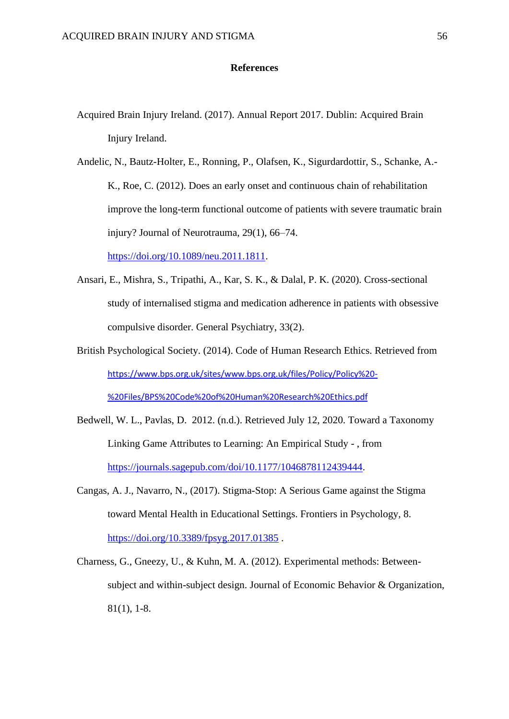### **References**

- Acquired Brain Injury Ireland. (2017). Annual Report 2017. Dublin: Acquired Brain Injury Ireland.
- Andelic, N., Bautz-Holter, E., Ronning, P., Olafsen, K., Sigurdardottir, S., Schanke, A.- K., Roe, C. (2012). Does an early onset and continuous chain of rehabilitation improve the long-term functional outcome of patients with severe traumatic brain injury? Journal of Neurotrauma, 29(1), 66–74.

[https://doi.org/10.1089/neu.2011.1811.](https://doi.org/10.1089/neu.2011.1811)

- Ansari, E., Mishra, S., Tripathi, A., Kar, S. K., & Dalal, P. K. (2020). Cross-sectional study of internalised stigma and medication adherence in patients with obsessive compulsive disorder. General Psychiatry, 33(2).
- British Psychological Society. (2014). Code of Human Research Ethics. Retrieved from [https://www.bps.org.uk/sites/www.bps.org.uk/files/Policy/Policy%20-](https://www.bps.org.uk/sites/www.bps.org.uk/files/Policy/Policy%20-%20Files/BPS%20Code%20of%20Human%20Research%20Ethics.pdf) [%20Files/BPS%20Code%20of%20Human%20Research%20Ethics.pdf](https://www.bps.org.uk/sites/www.bps.org.uk/files/Policy/Policy%20-%20Files/BPS%20Code%20of%20Human%20Research%20Ethics.pdf)
- Bedwell, W. L., Pavlas, D. 2012. (n.d.). Retrieved July 12, 2020. Toward a Taxonomy Linking Game Attributes to Learning: An Empirical Study - , from [https://journals.sagepub.com/doi/10.1177/1046878112439444.](https://journals.sagepub.com/doi/10.1177/1046878112439444)
- Cangas, A. J., Navarro, N., (2017). Stigma-Stop: A Serious Game against the Stigma toward Mental Health in Educational Settings. Frontiers in Psychology, 8. <https://doi.org/10.3389/fpsyg.2017.01385> .
- Charness, G., Gneezy, U., & Kuhn, M. A. (2012). Experimental methods: Betweensubject and within-subject design. Journal of Economic Behavior & Organization, 81(1), 1-8.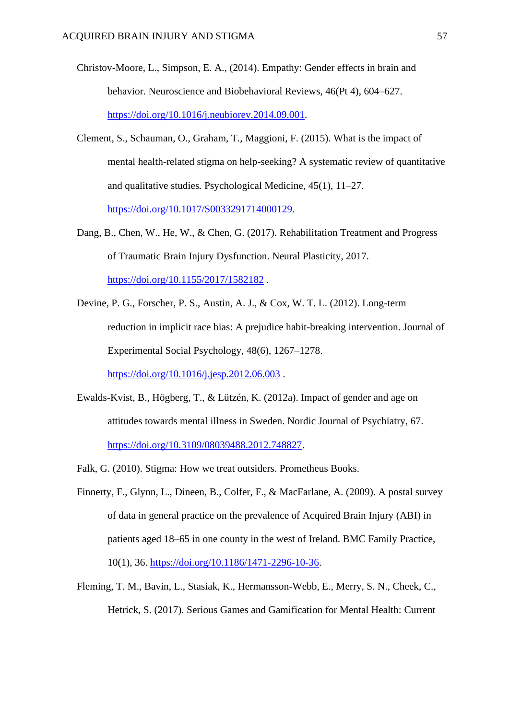- Christov-Moore, L., Simpson, E. A., (2014). Empathy: Gender effects in brain and behavior. Neuroscience and Biobehavioral Reviews, 46(Pt 4), 604–627. [https://doi.org/10.1016/j.neubiorev.2014.09.001.](https://doi.org/10.1016/j.neubiorev.2014.09.001)
- Clement, S., Schauman, O., Graham, T., Maggioni, F. (2015). What is the impact of mental health-related stigma on help-seeking? A systematic review of quantitative and qualitative studies*.* Psychological Medicine, 45(1), 11–27. [https://doi.org/10.1017/S0033291714000129.](https://doi.org/10.1017/S0033291714000129)
- Dang, B., Chen, W., He, W., & Chen, G. (2017). Rehabilitation Treatment and Progress of Traumatic Brain Injury Dysfunction. Neural Plasticity, 2017. <https://doi.org/10.1155/2017/1582182> .
- Devine, P. G., Forscher, P. S., Austin, A. J., & Cox, W. T. L. (2012). Long-term reduction in implicit race bias: A prejudice habit-breaking intervention. Journal of Experimental Social Psychology, 48(6), 1267–1278.

<https://doi.org/10.1016/j.jesp.2012.06.003>.

- Ewalds-Kvist, B., Högberg, T., & Lützén, K. (2012a). Impact of gender and age on attitudes towards mental illness in Sweden. Nordic Journal of Psychiatry, 67. [https://doi.org/10.3109/08039488.2012.748827.](https://doi.org/10.3109/08039488.2012.748827)
- Falk, G. (2010). Stigma: How we treat outsiders. Prometheus Books.
- Finnerty, F., Glynn, L., Dineen, B., Colfer, F., & MacFarlane, A. (2009). A postal survey of data in general practice on the prevalence of Acquired Brain Injury (ABI) in patients aged 18–65 in one county in the west of Ireland. BMC Family Practice, 10(1), 36. [https://doi.org/10.1186/1471-2296-10-36.](https://doi.org/10.1186/1471-2296-10-36)
- Fleming, T. M., Bavin, L., Stasiak, K., Hermansson-Webb, E., Merry, S. N., Cheek, C., Hetrick, S. (2017). Serious Games and Gamification for Mental Health: Current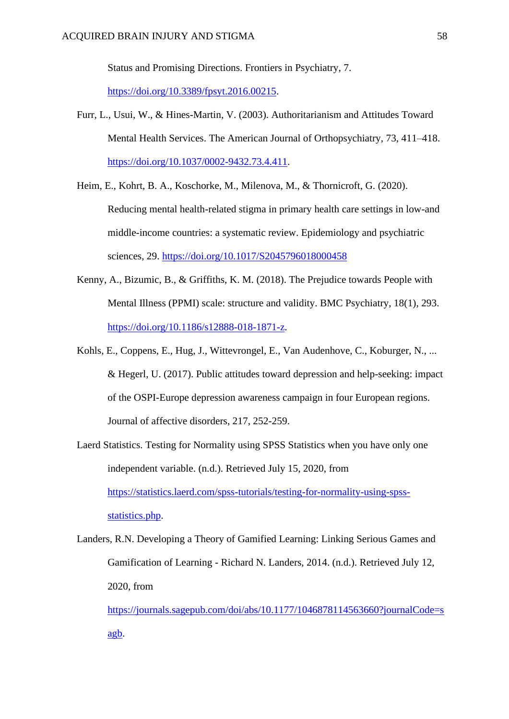Status and Promising Directions. Frontiers in Psychiatry, 7. [https://doi.org/10.3389/fpsyt.2016.00215.](https://doi.org/10.3389/fpsyt.2016.00215)

- Furr, L., Usui, W., & Hines-Martin, V. (2003). Authoritarianism and Attitudes Toward Mental Health Services. The American Journal of Orthopsychiatry, 73, 411–418. [https://doi.org/10.1037/0002-9432.73.4.411.](https://doi.org/10.1037/0002-9432.73.4.411)
- Heim, E., Kohrt, B. A., Koschorke, M., Milenova, M., & Thornicroft, G. (2020). Reducing mental health-related stigma in primary health care settings in low-and middle-income countries: a systematic review. Epidemiology and psychiatric sciences, 29. <https://doi.org/10.1017/S2045796018000458>
- Kenny, A., Bizumic, B., & Griffiths, K. M. (2018). The Prejudice towards People with Mental Illness (PPMI) scale: structure and validity. BMC Psychiatry, 18(1), 293. [https://doi.org/10.1186/s12888-018-1871-z.](https://doi.org/10.1186/s12888-018-1871-z)
- Kohls, E., Coppens, E., Hug, J., Wittevrongel, E., Van Audenhove, C., Koburger, N., ... & Hegerl, U. (2017). Public attitudes toward depression and help-seeking: impact of the OSPI-Europe depression awareness campaign in four European regions. Journal of affective disorders, 217, 252-259.
- Laerd Statistics. Testing for Normality using SPSS Statistics when you have only one independent variable. (n.d.). Retrieved July 15, 2020, from [https://statistics.laerd.com/spss-tutorials/testing-for-normality-using-spss](https://statistics.laerd.com/spss-tutorials/testing-for-normality-using-spss-statistics.php)[statistics.php.](https://statistics.laerd.com/spss-tutorials/testing-for-normality-using-spss-statistics.php)
- Landers, R.N. Developing a Theory of Gamified Learning: Linking Serious Games and Gamification of Learning - Richard N. Landers, 2014. (n.d.). Retrieved July 12, 2020, from [https://journals.sagepub.com/doi/abs/10.1177/1046878114563660?journalCode=s](https://journals.sagepub.com/doi/abs/10.1177/1046878114563660?journalCode=sagb)

[agb.](https://journals.sagepub.com/doi/abs/10.1177/1046878114563660?journalCode=sagb)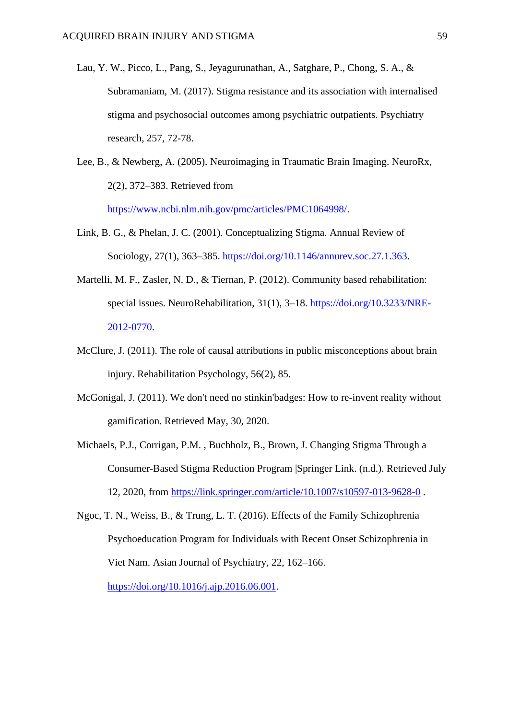- Lau, Y. W., Picco, L., Pang, S., Jeyagurunathan, A., Satghare, P., Chong, S. A., & Subramaniam, M. (2017). Stigma resistance and its association with internalised stigma and psychosocial outcomes among psychiatric outpatients. Psychiatry research, 257, 72-78.
- Lee, B., & Newberg, A. (2005). Neuroimaging in Traumatic Brain Imaging. NeuroRx, 2(2), 372–383. Retrieved from [https://www.ncbi.nlm.nih.gov/pmc/articles/PMC1064998/.](https://www.ncbi.nlm.nih.gov/pmc/articles/PMC1064998/)
- Link, B. G., & Phelan, J. C. (2001). Conceptualizing Stigma. Annual Review of Sociology, 27(1), 363–385. [https://doi.org/10.1146/annurev.soc.27.1.363.](https://doi.org/10.1146/annurev.soc.27.1.363)
- Martelli, M. F., Zasler, N. D., & Tiernan, P. (2012). Community based rehabilitation: special issues. NeuroRehabilitation, 31(1), 3–18. [https://doi.org/10.3233/NRE-](https://doi.org/10.3233/NRE-2012-0770)[2012-0770.](https://doi.org/10.3233/NRE-2012-0770)
- McClure, J. (2011). The role of causal attributions in public misconceptions about brain injury. Rehabilitation Psychology, 56(2), 85.
- McGonigal, J. (2011). We don't need no stinkin'badges: How to re-invent reality without gamification. Retrieved May, 30, 2020.
- Michaels, P.J., Corrigan, P.M. , Buchholz, B., Brown, J. Changing Stigma Through a Consumer-Based Stigma Reduction Program |Springer Link. (n.d.). Retrieved July 12, 2020, from<https://link.springer.com/article/10.1007/s10597-013-9628-0> .
- Ngoc, T. N., Weiss, B., & Trung, L. T. (2016). Effects of the Family Schizophrenia Psychoeducation Program for Individuals with Recent Onset Schizophrenia in Viet Nam. Asian Journal of Psychiatry, 22, 162–166. [https://doi.org/10.1016/j.ajp.2016.06.001.](https://doi.org/10.1016/j.ajp.2016.06.001)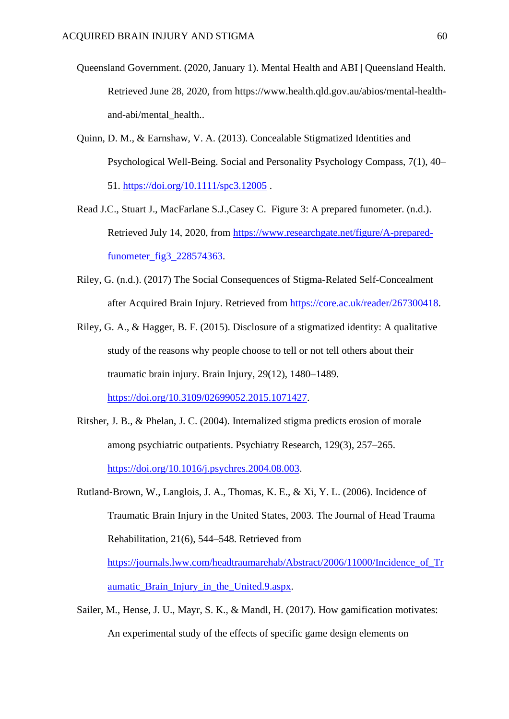- Queensland Government. (2020, January 1). Mental Health and ABI | Queensland Health. Retrieved June 28, 2020, from https://www.health.qld.gov.au/abios/mental-healthand-abi/mental health..
- Quinn, D. M., & Earnshaw, V. A. (2013). Concealable Stigmatized Identities and Psychological Well-Being. Social and Personality Psychology Compass, 7(1), 40– 51.<https://doi.org/10.1111/spc3.12005>.
- Read J.C., Stuart J., MacFarlane S.J.,Casey C. Figure 3: A prepared funometer. (n.d.). Retrieved July 14, 2020, from [https://www.researchgate.net/figure/A-prepared](https://www.researchgate.net/figure/A-prepared-funometer_fig3_228574363)[funometer\\_fig3\\_228574363.](https://www.researchgate.net/figure/A-prepared-funometer_fig3_228574363)
- Riley, G. (n.d.). (2017) The Social Consequences of Stigma-Related Self-Concealment after Acquired Brain Injury. Retrieved from [https://core.ac.uk/reader/267300418.](https://core.ac.uk/reader/267300418)
- Riley, G. A., & Hagger, B. F. (2015). Disclosure of a stigmatized identity: A qualitative study of the reasons why people choose to tell or not tell others about their traumatic brain injury. Brain Injury, 29(12), 1480–1489. [https://doi.org/10.3109/02699052.2015.1071427.](https://doi.org/10.3109/02699052.2015.1071427)
- Ritsher, J. B., & Phelan, J. C. (2004). Internalized stigma predicts erosion of morale among psychiatric outpatients. Psychiatry Research, 129(3), 257–265. [https://doi.org/10.1016/j.psychres.2004.08.003.](https://doi.org/10.1016/j.psychres.2004.08.003)
- Rutland-Brown, W., Langlois, J. A., Thomas, K. E., & Xi, Y. L. (2006). Incidence of Traumatic Brain Injury in the United States, 2003. The Journal of Head Trauma Rehabilitation, 21(6), 544–548. Retrieved from [https://journals.lww.com/headtraumarehab/Abstract/2006/11000/Incidence\\_of\\_Tr](https://journals.lww.com/headtraumarehab/Abstract/2006/11000/Incidence_of_Traumatic_Brain_Injury_in_the_United.9.aspx) aumatic Brain Injury in the United.9.aspx.
- Sailer, M., Hense, J. U., Mayr, S. K., & Mandl, H. (2017). How gamification motivates: An experimental study of the effects of specific game design elements on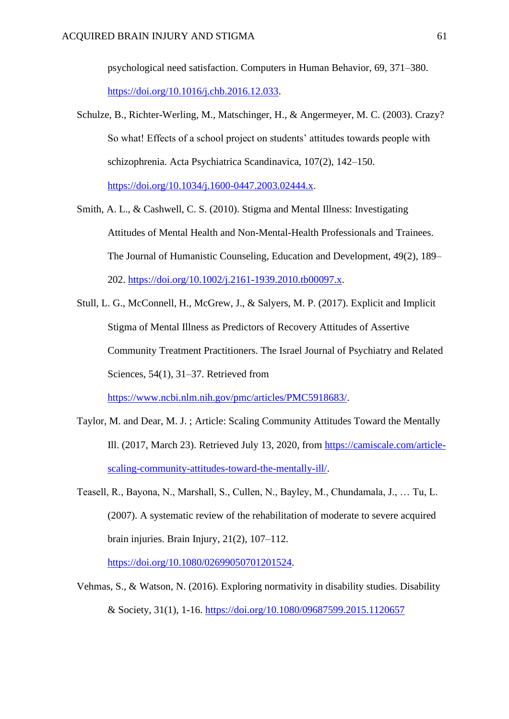psychological need satisfaction. Computers in Human Behavior, 69, 371–380. [https://doi.org/10.1016/j.chb.2016.12.033.](https://doi.org/10.1016/j.chb.2016.12.033)

- Schulze, B., Richter-Werling, M., Matschinger, H., & Angermeyer, M. C. (2003). Crazy? So what! Effects of a school project on students' attitudes towards people with schizophrenia. Acta Psychiatrica Scandinavica, 107(2), 142–150. [https://doi.org/10.1034/j.1600-0447.2003.02444.x.](https://doi.org/10.1034/j.1600-0447.2003.02444.x)
- Smith, A. L., & Cashwell, C. S. (2010). Stigma and Mental Illness: Investigating Attitudes of Mental Health and Non-Mental-Health Professionals and Trainees. The Journal of Humanistic Counseling, Education and Development, 49(2), 189– 202. [https://doi.org/10.1002/j.2161-1939.2010.tb00097.x.](https://doi.org/10.1002/j.2161-1939.2010.tb00097.x)
- Stull, L. G., McConnell, H., McGrew, J., & Salyers, M. P. (2017). Explicit and Implicit Stigma of Mental Illness as Predictors of Recovery Attitudes of Assertive Community Treatment Practitioners. The Israel Journal of Psychiatry and Related Sciences, 54(1), 31–37. Retrieved from [https://www.ncbi.nlm.nih.gov/pmc/articles/PMC5918683/.](https://www.ncbi.nlm.nih.gov/pmc/articles/PMC5918683/)
- Taylor, M. and Dear, M. J. ; Article: Scaling Community Attitudes Toward the Mentally Ill. (2017, March 23). Retrieved July 13, 2020, from [https://camiscale.com/article](https://camiscale.com/article-scaling-community-attitudes-toward-the-mentally-ill/)[scaling-community-attitudes-toward-the-mentally-ill/.](https://camiscale.com/article-scaling-community-attitudes-toward-the-mentally-ill/)
- Teasell, R., Bayona, N., Marshall, S., Cullen, N., Bayley, M., Chundamala, J., … Tu, L. (2007). A systematic review of the rehabilitation of moderate to severe acquired brain injuries. Brain Injury, 21(2), 107–112.

[https://doi.org/10.1080/02699050701201524.](https://doi.org/10.1080/02699050701201524)

Vehmas, S., & Watson, N. (2016). Exploring normativity in disability studies. Disability & Society, 31(1), 1-16. <https://doi.org/10.1080/09687599.2015.1120657>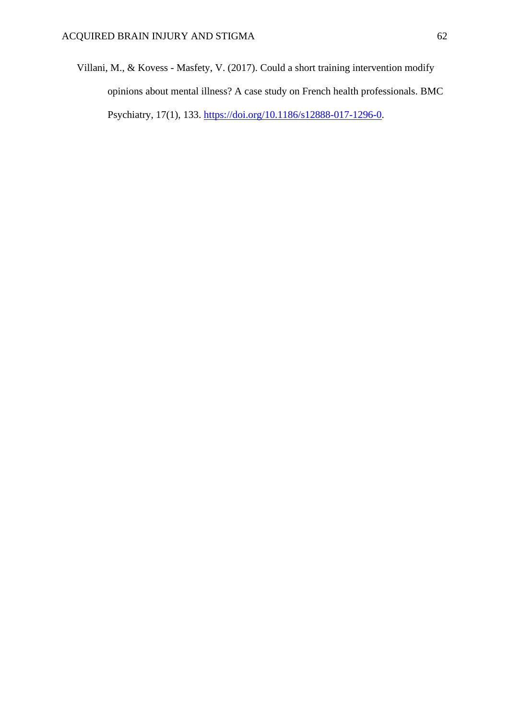Villani, M., & Kovess - Masfety, V. (2017). Could a short training intervention modify opinions about mental illness? A case study on French health professionals. BMC Psychiatry, 17(1), 133. [https://doi.org/10.1186/s12888-017-1296-0.](https://doi.org/10.1186/s12888-017-1296-0)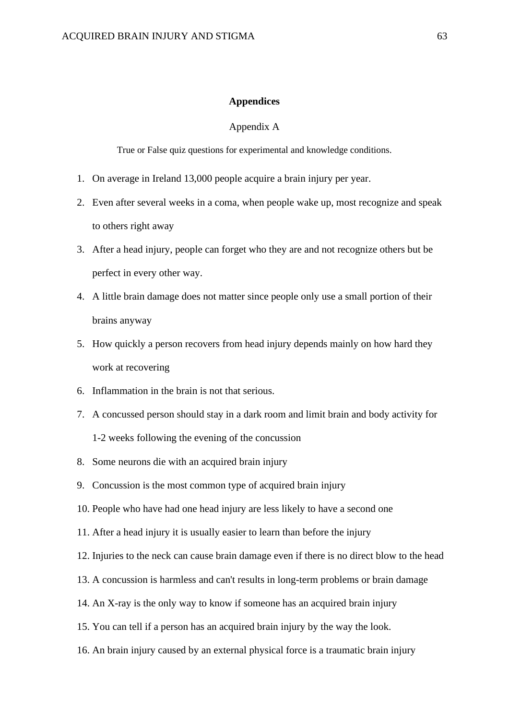#### **Appendices**

### Appendix A

True or False quiz questions for experimental and knowledge conditions.

- 1. On average in Ireland 13,000 people acquire a brain injury per year.
- 2. Even after several weeks in a coma, when people wake up, most recognize and speak to others right away
- 3. After a head injury, people can forget who they are and not recognize others but be perfect in every other way.
- 4. A little brain damage does not matter since people only use a small portion of their brains anyway
- 5. How quickly a person recovers from head injury depends mainly on how hard they work at recovering
- 6. Inflammation in the brain is not that serious.
- 7. A concussed person should stay in a dark room and limit brain and body activity for 1-2 weeks following the evening of the concussion
- 8. Some neurons die with an acquired brain injury
- 9. Concussion is the most common type of acquired brain injury
- 10. People who have had one head injury are less likely to have a second one
- 11. After a head injury it is usually easier to learn than before the injury
- 12. Injuries to the neck can cause brain damage even if there is no direct blow to the head
- 13. A concussion is harmless and can't results in long-term problems or brain damage
- 14. An X-ray is the only way to know if someone has an acquired brain injury
- 15. You can tell if a person has an acquired brain injury by the way the look.
- 16. An brain injury caused by an external physical force is a traumatic brain injury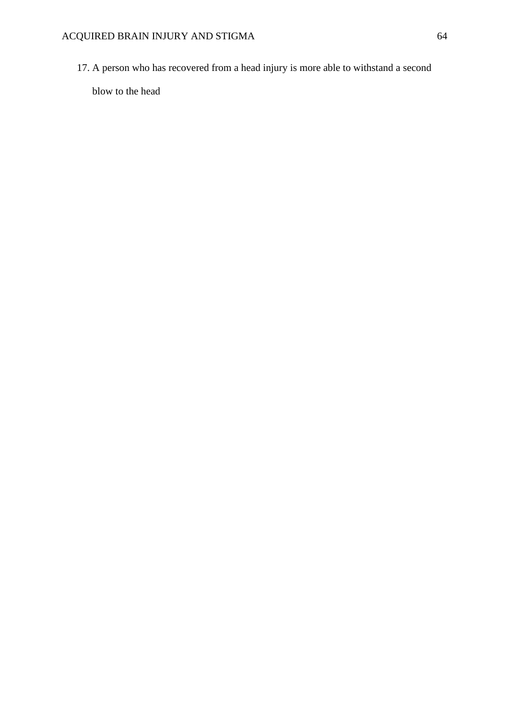17. A person who has recovered from a head injury is more able to withstand a second

blow to the head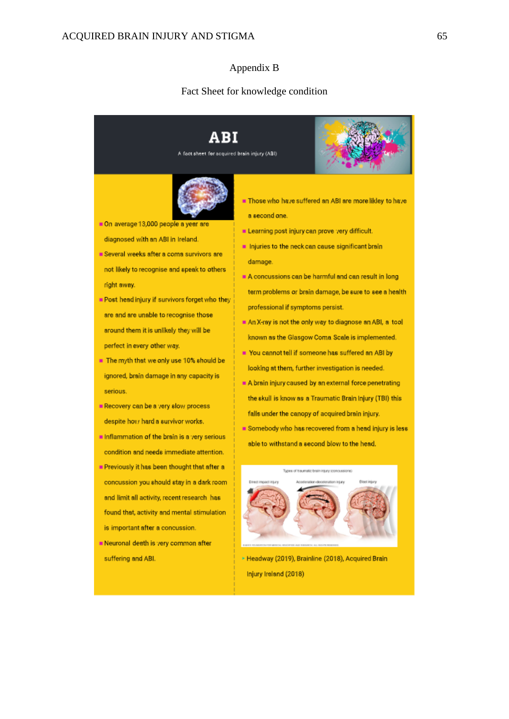# Appendix B

#### Fact Sheet for knowledge condition

ABI A fact sheet for acquired brain injury (ABI)

On average 13,000 people a year are

- diagnosed with an ABI in Ireland.
- Several weeks after a coma survivors are not likely to recognise and speak to others right away.
- Post head injury if survivors forget who they are and are unable to recognise those around them it is unlikely they will be perfect in every other way.
- The myth that we only use 10% should be ignored, brain damage in any capacity is serious.
- Recovery can be a very slow process despite how hard a survivor works.
- Inflammation of the brain is a very serious condition and needs immediate attention.
- Previously it has been thought that after a concussion you should stay in a dark room and limit all activity, recent research has found that, activity and mental stimulation is important after a concussion.
- Neuronal death is very common after suffering and ABI.
- Those who have suffered an ABI are more likley to have a second one
- Elearning post injury can prove very difficult.
- Injuries to the neck can cause significant brain damage.
- A concussions can be harmful and can result in long term problems or brain damage, be sure to see a health professional if symptoms persist.
- An X-ray is not the only way to diagnose an ABI, a tool known as the Glasgow Coma Scale is implemented.
- You cannot tell if someone has suffered an ABI by looking at them, further investigation is needed.
- A brain injury caused by an external force penetrating the skull is know as a Traumatic Brain Injury (TBI) this falls under the canopy of acquired brain injury.
- Somebody who has recovered from a head injury is less able to withstand a second blow to the head.



Headway (2019), Brainline (2018), Acquired Brain

Injury Ireland (2018)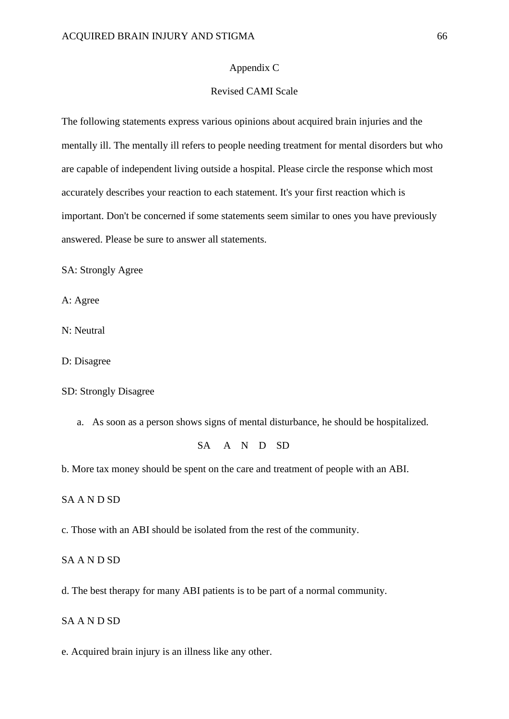### Appendix C

# Revised CAMI Scale

The following statements express various opinions about acquired brain injuries and the mentally ill. The mentally ill refers to people needing treatment for mental disorders but who are capable of independent living outside a hospital. Please circle the response which most accurately describes your reaction to each statement. It's your first reaction which is important. Don't be concerned if some statements seem similar to ones you have previously answered. Please be sure to answer all statements.

SA: Strongly Agree

A: Agree

N: Neutral

D: Disagree

### SD: Strongly Disagree

a. As soon as a person shows signs of mental disturbance, he should be hospitalized.

# SA A N D SD

b. More tax money should be spent on the care and treatment of people with an ABI.

SA A N D SD

c. Those with an ABI should be isolated from the rest of the community.

## SA A N D SD

d. The best therapy for many ABI patients is to be part of a normal community.

# SA A N D SD

e. Acquired brain injury is an illness like any other.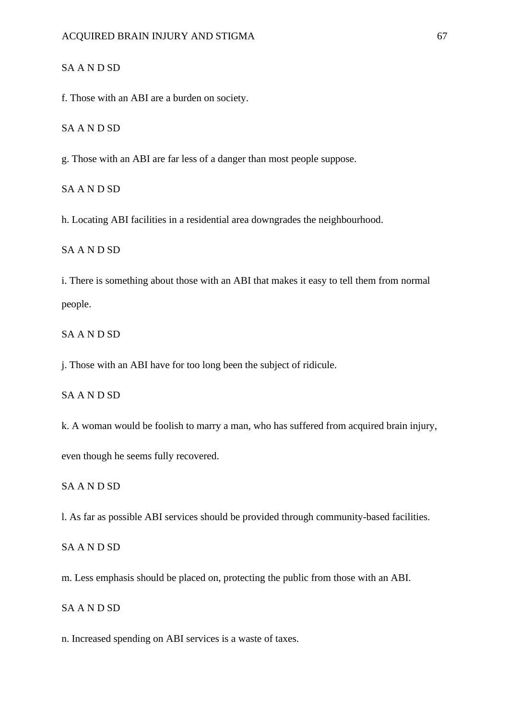### SA A N D SD

f. Those with an ABI are a burden on society.

SA A N D SD

g. Those with an ABI are far less of a danger than most people suppose.

SA A N D SD

h. Locating ABI facilities in a residential area downgrades the neighbourhood.

SA A N D SD

i. There is something about those with an ABI that makes it easy to tell them from normal people.

SA A N D SD

j. Those with an ABI have for too long been the subject of ridicule.

SA A N D SD

k. A woman would be foolish to marry a man, who has suffered from acquired brain injury,

even though he seems fully recovered.

SA A N D SD

l. As far as possible ABI services should be provided through community-based facilities.

SA A N D SD

m. Less emphasis should be placed on, protecting the public from those with an ABI.

SA A N D SD

n. Increased spending on ABI services is a waste of taxes.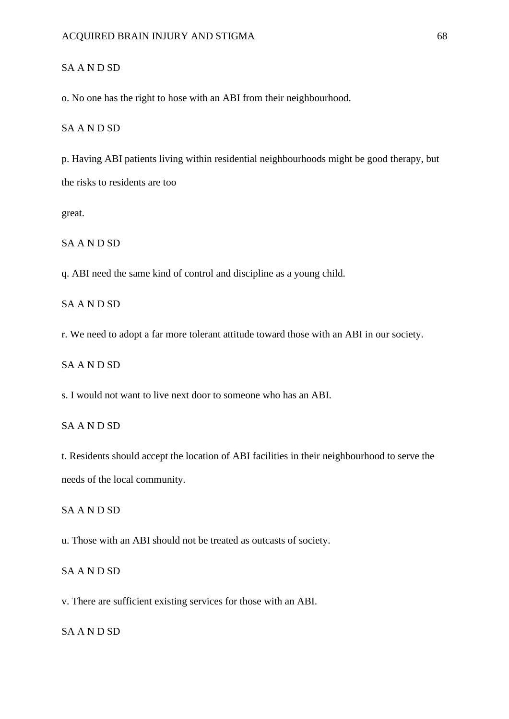### SA A N D SD

o. No one has the right to hose with an ABI from their neighbourhood.

SA A N D SD

p. Having ABI patients living within residential neighbourhoods might be good therapy, but the risks to residents are too

great.

SA A N D SD

q. ABI need the same kind of control and discipline as a young child.

SA A N D SD

r. We need to adopt a far more tolerant attitude toward those with an ABI in our society.

SA A N D SD

s. I would not want to live next door to someone who has an ABI.

SA A N D SD

t. Residents should accept the location of ABI facilities in their neighbourhood to serve the needs of the local community.

SA A N D SD

u. Those with an ABI should not be treated as outcasts of society.

SA A N D SD

v. There are sufficient existing services for those with an ABI.

SA A N D SD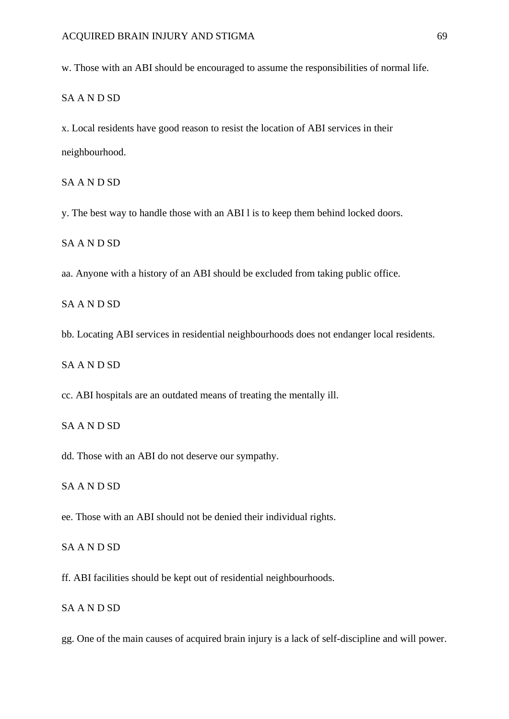w. Those with an ABI should be encouraged to assume the responsibilities of normal life.

# SA A N D SD

x. Local residents have good reason to resist the location of ABI services in their neighbourhood.

SA A N D SD

y. The best way to handle those with an ABI l is to keep them behind locked doors.

SA A N D SD

aa. Anyone with a history of an ABI should be excluded from taking public office.

SA A N D SD

bb. Locating ABI services in residential neighbourhoods does not endanger local residents.

SA A N D SD

cc. ABI hospitals are an outdated means of treating the mentally ill.

SA A N D SD

dd. Those with an ABI do not deserve our sympathy.

SA A N D SD

ee. Those with an ABI should not be denied their individual rights.

SA A N D SD

ff. ABI facilities should be kept out of residential neighbourhoods.

SA A N D SD

gg. One of the main causes of acquired brain injury is a lack of self-discipline and will power.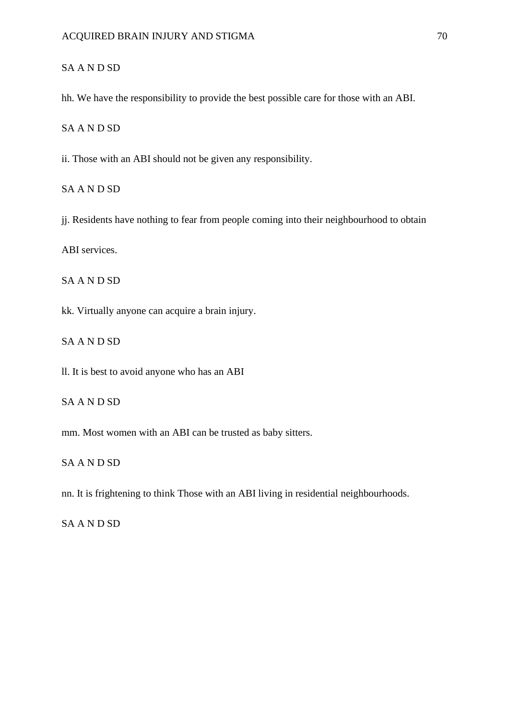# SA A N D SD

hh. We have the responsibility to provide the best possible care for those with an ABI.

SA A N D SD

ii. Those with an ABI should not be given any responsibility.

SA A N D SD

jj. Residents have nothing to fear from people coming into their neighbourhood to obtain

ABI services.

SA A N D SD

kk. Virtually anyone can acquire a brain injury.

SA A N D SD

ll. It is best to avoid anyone who has an ABI

SA A N D SD

mm. Most women with an ABI can be trusted as baby sitters.

# SA A N D SD

nn. It is frightening to think Those with an ABI living in residential neighbourhoods.

SA A N D SD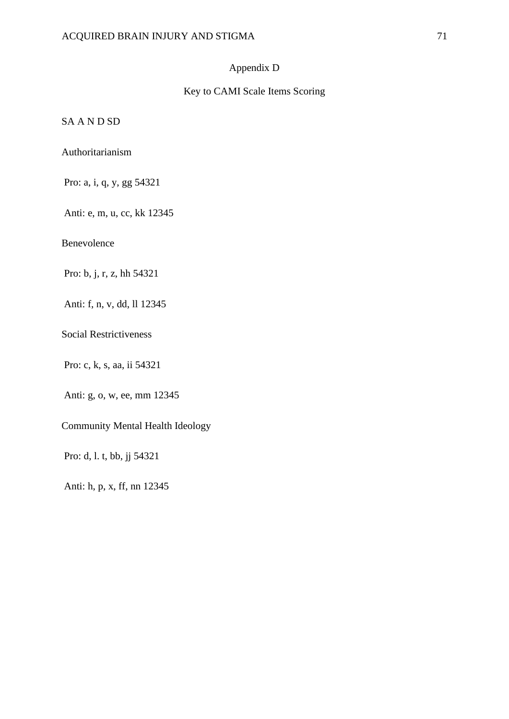# Appendix D

# Key to CAMI Scale Items Scoring

SA A N D SD

Authoritarianism

Pro: a, i, q, y, gg 54321

Anti: e, m, u, cc, kk 12345

Benevolence

Pro: b, j, r, z, hh 54321

Anti: f, n, v, dd, ll 12345

Social Restrictiveness

Pro: c, k, s, aa, ii 54321

Anti: g, o, w, ee, mm 12345

Community Mental Health Ideology

Pro: d, l. t, bb, jj 54321

Anti: h, p, x, ff, nn 12345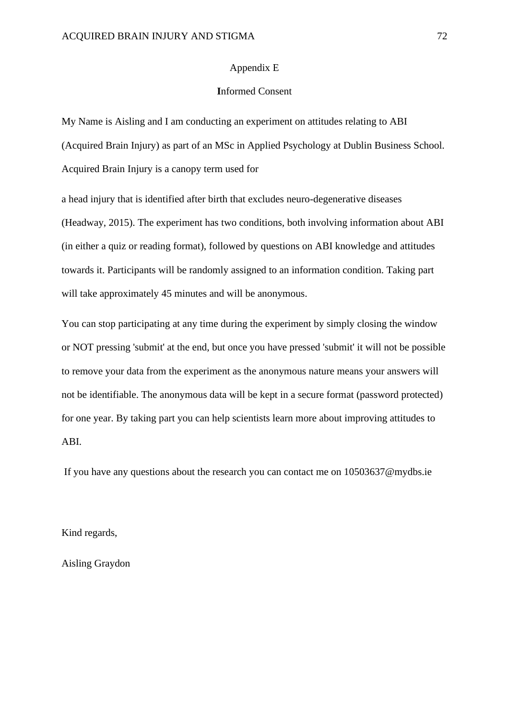#### Appendix E

#### **I**nformed Consent

My Name is Aisling and I am conducting an experiment on attitudes relating to ABI (Acquired Brain Injury) as part of an MSc in Applied Psychology at Dublin Business School. Acquired Brain Injury is a canopy term used for

a head injury that is identified after birth that excludes neuro-degenerative diseases (Headway, 2015). The experiment has two conditions, both involving information about ABI (in either a quiz or reading format), followed by questions on ABI knowledge and attitudes towards it. Participants will be randomly assigned to an information condition. Taking part will take approximately 45 minutes and will be anonymous.

You can stop participating at any time during the experiment by simply closing the window or NOT pressing 'submit' at the end, but once you have pressed 'submit' it will not be possible to remove your data from the experiment as the anonymous nature means your answers will not be identifiable. The anonymous data will be kept in a secure format (password protected) for one year. By taking part you can help scientists learn more about improving attitudes to ABI.

If you have any questions about the research you can contact me on 10503637@mydbs.ie

Kind regards,

Aisling Graydon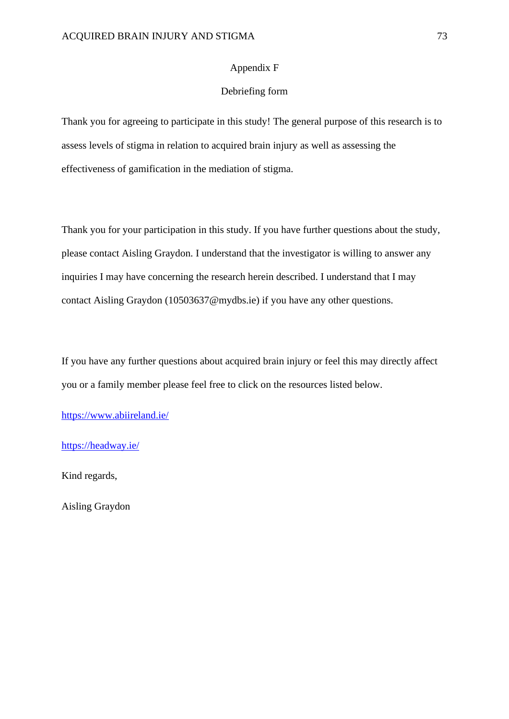#### Appendix F

#### Debriefing form

Thank you for agreeing to participate in this study! The general purpose of this research is to assess levels of stigma in relation to acquired brain injury as well as assessing the effectiveness of gamification in the mediation of stigma.

Thank you for your participation in this study. If you have further questions about the study, please contact Aisling Graydon. I understand that the investigator is willing to answer any inquiries I may have concerning the research herein described. I understand that I may contact Aisling Graydon (10503637@mydbs.ie) if you have any other questions.

If you have any further questions about acquired brain injury or feel this may directly affect you or a family member please feel free to click on the resources listed below.

<https://www.abiireland.ie/>

<https://headway.ie/>

Kind regards,

Aisling Graydon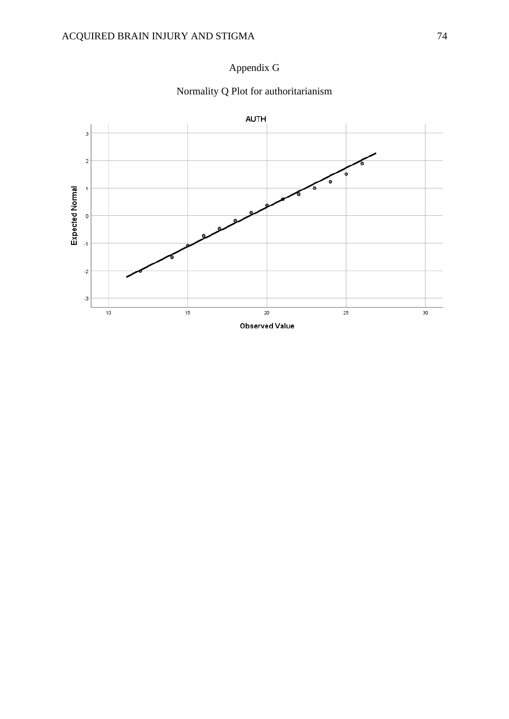

# Appendix G

## Normality Q Plot for authoritarianism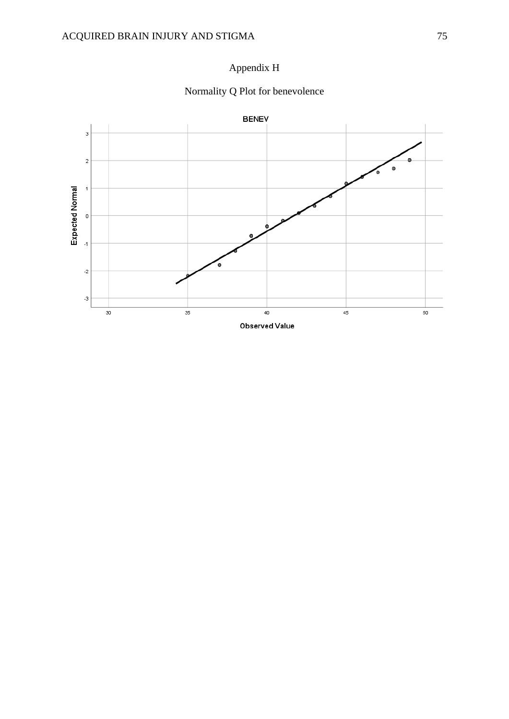

## Normality Q Plot for benevolence

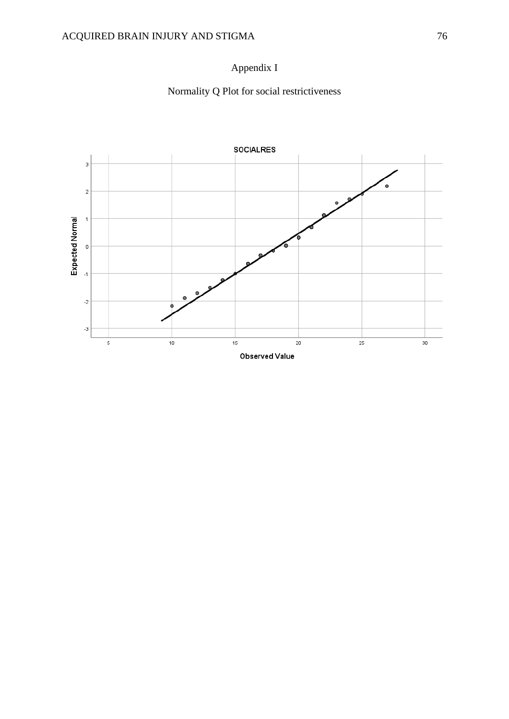# Appendix I

Normality Q Plot for social restrictiveness

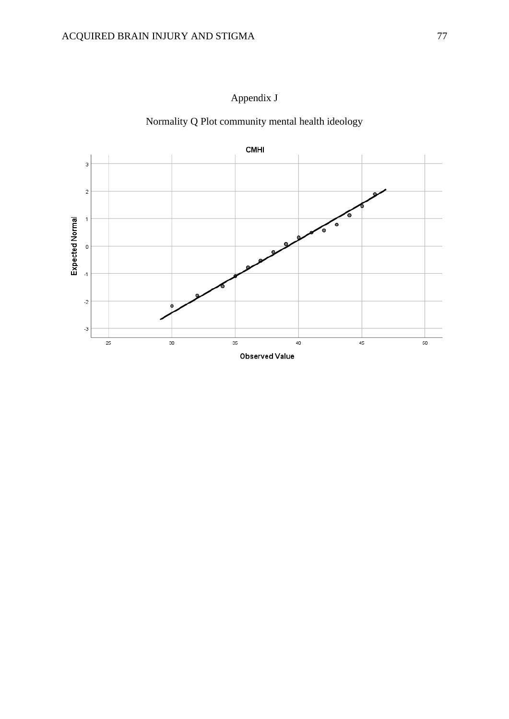

Appendix J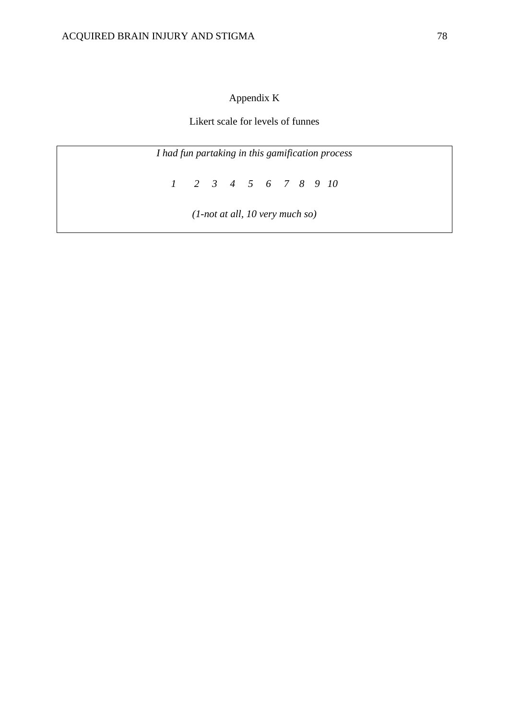## Appendix K

Likert scale for levels of funnes

*I had fun partaking in this gamification process*

*1 2 3 4 5 6 7 8 9 10*

*(1-not at all, 10 very much so)*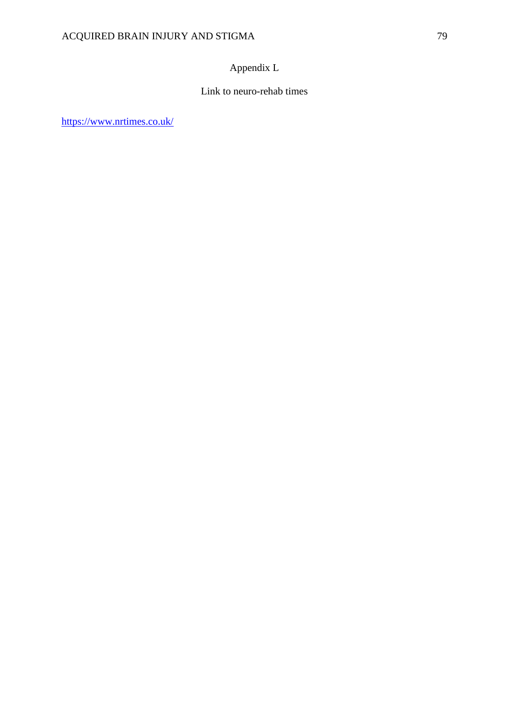## Appendix L

#### Link to neuro-rehab times

<https://www.nrtimes.co.uk/>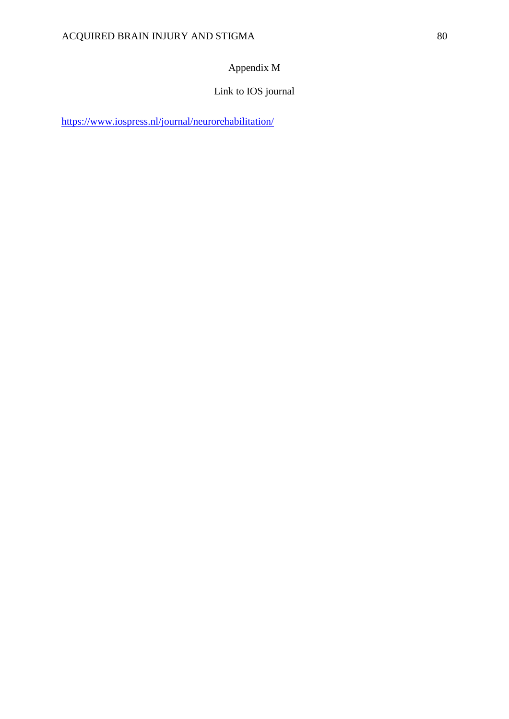## Appendix M

## Link to IOS journal

<https://www.iospress.nl/journal/neurorehabilitation/>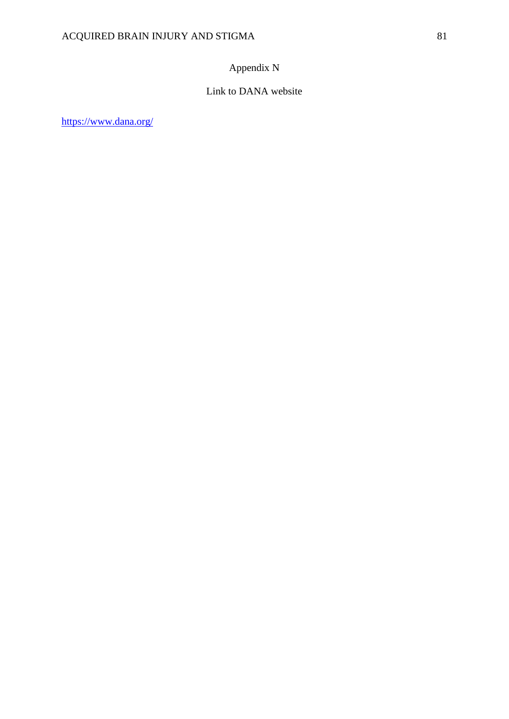## Appendix N

## Link to DANA website

<https://www.dana.org/>